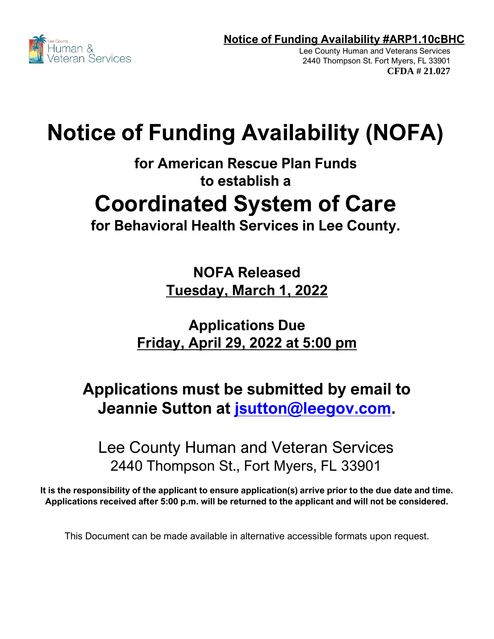

Lee County Human and Veterans Services 2440 Thompson St. Fort Myers, FL 33901 **CFDA # 21.027**

# **Notice of Funding Availability (NOFA)**

**for American Rescue Plan Funds to establish a**

# **Coordinated System of Care**

**for Behavioral Health Services in Lee County.**

**NOFA Released Tuesday, March 1, 2022**

**Applications Due Friday, April 29, 2022 at 5:00 pm**

# **Applications must be submitted by email to Jeannie Sutton at [jsutton@leegov.com.](mailto:jsutton@leegov.com)**

Lee County Human and Veteran Services 2440 Thompson St., Fort Myers, FL 33901

**It is the responsibility of the applicant to ensure application(s) arrive prior to the due date and time. Applications received after 5:00 p.m. will be returned to the applicant and will not be considered.**

This Document can be made available in alternative accessible formats upon request.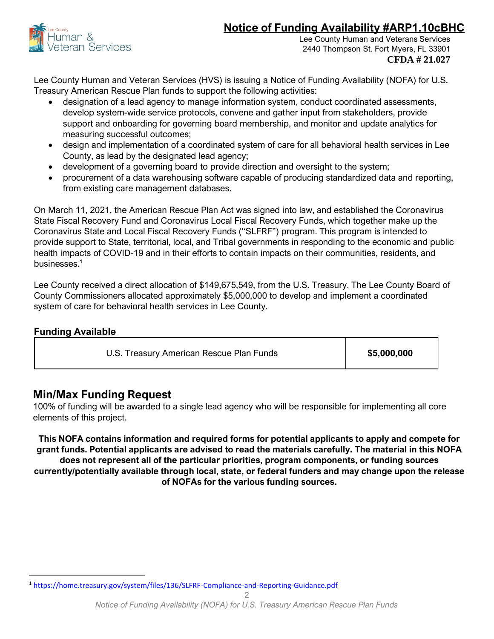

Lee County Human and Veterans Services 2440 Thompson St. Fort Myers, FL 33901 **CFDA # 21.027**

Lee County Human and Veteran Services (HVS) is issuing a Notice of Funding Availability (NOFA) for U.S. Treasury American Rescue Plan funds to support the following activities:

- designation of a lead agency to manage information system, conduct coordinated assessments, develop system-wide service protocols, convene and gather input from stakeholders, provide support and onboarding for governing board membership, and monitor and update analytics for measuring successful outcomes;
- design and implementation of a coordinated system of care for all behavioral health services in Lee County, as lead by the designated lead agency;
- development of a governing board to provide direction and oversight to the system;
- procurement of a data warehousing software capable of producing standardized data and reporting, from existing care management databases.

On March 11, 2021, the American Rescue Plan Act was signed into law, and established the Coronavirus State Fiscal Recovery Fund and Coronavirus Local Fiscal Recovery Funds, which together make up the Coronavirus State and Local Fiscal Recovery Funds ("SLFRF") program. This program is intended to provide support to State, territorial, local, and Tribal governments in responding to the economic and public health impacts of COVID-19 and in their efforts to contain impacts on their communities, residents, and businesses. $1$ 

Lee County received a direct allocation of \$149,675,549, from the U.S. Treasury. The Lee County Board of County Commissioners allocated approximately \$5,000,000 to develop and implement a coordinated system of care for behavioral health services in Lee County.

| <b>Funding Available</b> |
|--------------------------|
|                          |

U.S. Treasury American Rescue Plan Funds **\$5,000,000**

## **Min/Max Funding Request**

100% of funding will be awarded to a single lead agency who will be responsible for implementing all core elements of this project.

**This NOFA contains information and required forms for potential applicants to apply and compete for grant funds. Potential applicants are advised to read the materials carefully. The material in this NOFA does not represent all of the particular priorities, program components, or funding sources currently/potentially available through local, state, or federal funders and may change upon the release of NOFAs for the various funding sources.**

<sup>1</sup> <https://home.treasury.gov/system/files/136/SLFRF-Compliance-and-Reporting-Guidance.pdf>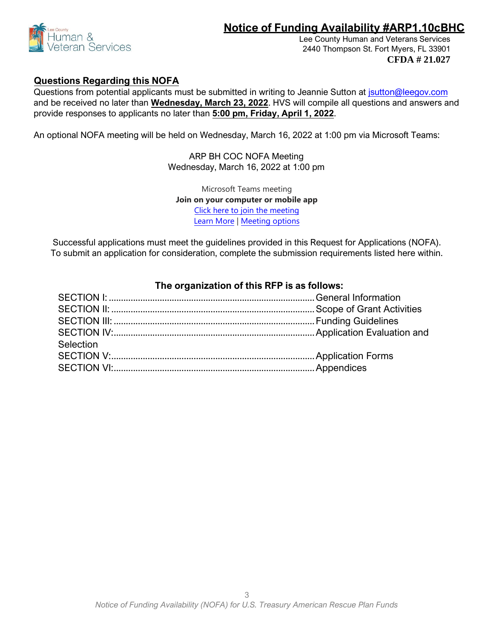

Lee County Human and Veterans Services 2440 Thompson St. Fort Myers, FL 33901 **CFDA # 21.027**

#### **Questions Regarding this NOFA**

Questions from potential applicants must be submitted in writing to Jeannie Sutton at [jsutton@leegov.com](mailto:jsutton@leegov.com) and be received no later than **Wednesday, March 23, 2022**. HVS will compile all questions and answers and provide responses to applicants no later than **5:00 pm, Friday, April 1, 2022**.

An optional NOFA meeting will be held on Wednesday, March 16, 2022 at 1:00 pm via Microsoft Teams:

ARP BH COC NOFA Meeting Wednesday, March 16, 2022 at 1:00 pm

Microsoft Teams meeting **Join on your computer or mobile app**  [Click here to join the meeting](https://teams.microsoft.com/l/meetup-join/19%3ameeting_YTMzZjIyYmQtODFkZi00ZTk3LThiNTItYTI1YWRlNDEwZDk5%40thread.v2/0?context=%7b%22Tid%22%3a%22455d8e4d-5bcc-4762-8166-68677f2224f1%22%2c%22Oid%22%3a%2208623523-83b0-4d0d-89d6-7b854b885116%22%7d) [Learn More](https://aka.ms/JoinTeamsMeeting) | [Meeting options](https://teams.microsoft.com/meetingOptions/?organizerId=08623523-83b0-4d0d-89d6-7b854b885116&tenantId=455d8e4d-5bcc-4762-8166-68677f2224f1&threadId=19_meeting_YTMzZjIyYmQtODFkZi00ZTk3LThiNTItYTI1YWRlNDEwZDk5@thread.v2&messageId=0&language=en-US)

Successful applications must meet the guidelines provided in this Request for Applications (NOFA). To submit an application for consideration, complete the submission requirements listed here within.

| Selection |  |
|-----------|--|
|           |  |
|           |  |
|           |  |

### **The organization of this RFP is as follows:**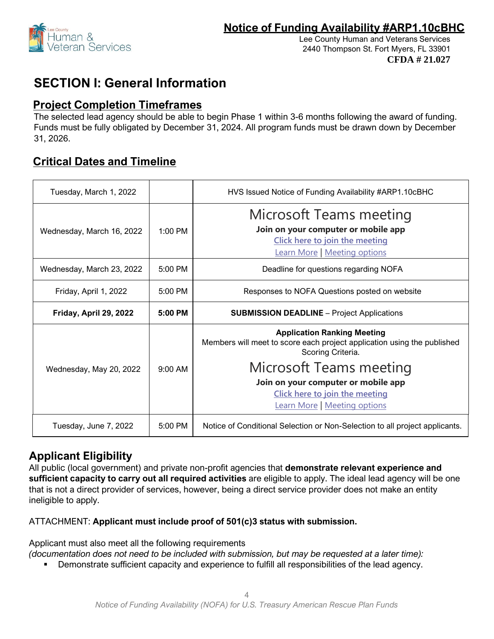

# **SECTION I: General Information**

### **Project Completion Timeframes**

The selected lead agency should be able to begin Phase 1 within 3-6 months following the award of funding. Funds must be fully obligated by December 31, 2024. All program funds must be drawn down by December 31, 2026.

## **Critical Dates and Timeline**

| Tuesday, March 1, 2022    |           | HVS Issued Notice of Funding Availability #ARP1.10cBHC                                                                                         |
|---------------------------|-----------|------------------------------------------------------------------------------------------------------------------------------------------------|
| Wednesday, March 16, 2022 | 1:00 PM   | <b>Microsoft Teams meeting</b><br>Join on your computer or mobile app<br>Click here to join the meeting<br><b>Learn More</b>   Meeting options |
| Wednesday, March 23, 2022 | $5:00$ PM | Deadline for questions regarding NOFA                                                                                                          |
| Friday, April 1, 2022     | $5:00$ PM | Responses to NOFA Questions posted on website                                                                                                  |
| Friday, April 29, 2022    | 5:00 PM   | <b>SUBMISSION DEADLINE - Project Applications</b>                                                                                              |
|                           |           | <b>Application Ranking Meeting</b><br>Members will meet to score each project application using the published<br>Scoring Criteria.             |
| Wednesday, May 20, 2022   | $9:00$ AM | Microsoft Teams meeting<br>Join on your computer or mobile app<br>Click here to join the meeting<br><b>Learn More</b>   Meeting options        |
|                           |           |                                                                                                                                                |

### **Applicant Eligibility**

All public (local government) and private non-profit agencies that **demonstrate relevant experience and sufficient capacity to carry out all required activities** are eligible to apply. The ideal lead agency will be one that is not a direct provider of services, however, being a direct service provider does not make an entity ineligible to apply.

### ATTACHMENT: **Applicant must include proof of 501(c)3 status with submission.**

Applicant must also meet all the following requirements

*(documentation does not need to be included with submission, but may be requested at a later time):* 

**•** Demonstrate sufficient capacity and experience to fulfill all responsibilities of the lead agency.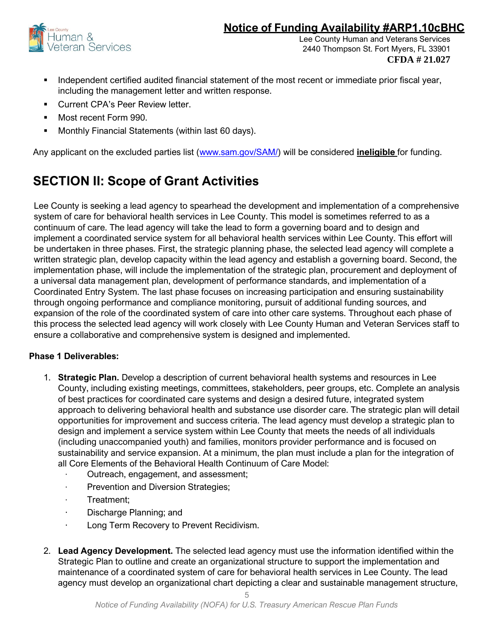

Lee County Human and Veterans Services 2440 Thompson St. Fort Myers, FL 33901 **CFDA # 21.027**

- Independent certified audited financial statement of the most recent or immediate prior fiscal year, including the management letter and written response.
- Current CPA's Peer Review letter.
- Most recent Form 990.
- Monthly Financial Statements (within last 60 days).

Any applicant on the excluded parties list [\(www.sam.gov/SAM/\)](http://www.sam.gov/SAM/) will be considered **ineligible** for funding.

# **SECTION II: Scope of Grant Activities**

Lee County is seeking a lead agency to spearhead the development and implementation of a comprehensive system of care for behavioral health services in Lee County. This model is sometimes referred to as a continuum of care. The lead agency will take the lead to form a governing board and to design and implement a coordinated service system for all behavioral health services within Lee County. This effort will be undertaken in three phases. First, the strategic planning phase, the selected lead agency will complete a written strategic plan, develop capacity within the lead agency and establish a governing board. Second, the implementation phase, will include the implementation of the strategic plan, procurement and deployment of a universal data management plan, development of performance standards, and implementation of a Coordinated Entry System. The last phase focuses on increasing participation and ensuring sustainability through ongoing performance and compliance monitoring, pursuit of additional funding sources, and expansion of the role of the coordinated system of care into other care systems. Throughout each phase of this process the selected lead agency will work closely with Lee County Human and Veteran Services staff to ensure a collaborative and comprehensive system is designed and implemented.

### **Phase 1 Deliverables:**

- 1. **Strategic Plan.** Develop a description of current behavioral health systems and resources in Lee County, including existing meetings, committees, stakeholders, peer groups, etc. Complete an analysis of best practices for coordinated care systems and design a desired future, integrated system approach to delivering behavioral health and substance use disorder care. The strategic plan will detail opportunities for improvement and success criteria. The lead agency must develop a strategic plan to design and implement a service system within Lee County that meets the needs of all individuals (including unaccompanied youth) and families, monitors provider performance and is focused on sustainability and service expansion. At a minimum, the plan must include a plan for the integration of all Core Elements of the Behavioral Health Continuum of Care Model:
	- · Outreach, engagement, and assessment;
	- · Prevention and Diversion Strategies;
	- · Treatment;
	- · Discharge Planning; and
	- · Long Term Recovery to Prevent Recidivism.
- 2. **Lead Agency Development.** The selected lead agency must use the information identified within the Strategic Plan to outline and create an organizational structure to support the implementation and maintenance of a coordinated system of care for behavioral health services in Lee County. The lead agency must develop an organizational chart depicting a clear and sustainable management structure,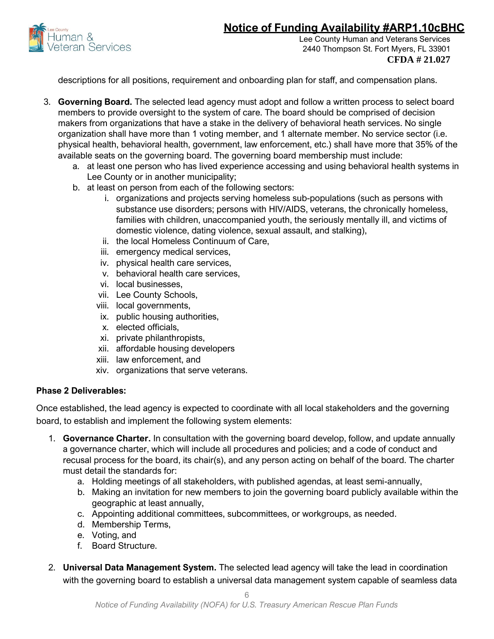

Lee County Human and Veterans Services 2440 Thompson St. Fort Myers, FL 33901 **CFDA # 21.027**

descriptions for all positions, requirement and onboarding plan for staff, and compensation plans.

- 3. **Governing Board.** The selected lead agency must adopt and follow a written process to select board members to provide oversight to the system of care. The board should be comprised of decision makers from organizations that have a stake in the delivery of behavioral heath services. No single organization shall have more than 1 voting member, and 1 alternate member. No service sector (i.e. physical health, behavioral health, government, law enforcement, etc.) shall have more that 35% of the available seats on the governing board. The governing board membership must include:
	- a. at least one person who has lived experience accessing and using behavioral health systems in Lee County or in another municipality;
	- b. at least on person from each of the following sectors:
		- i. organizations and projects serving homeless sub-populations (such as persons with substance use disorders; persons with HIV/AIDS, veterans, the chronically homeless, families with children, unaccompanied youth, the seriously mentally ill, and victims of domestic violence, dating violence, sexual assault, and stalking),
		- ii. the local Homeless Continuum of Care,
		- iii. emergency medical services,
		- iv. physical health care services,
		- v. behavioral health care services,
		- vi. local businesses,
		- vii. Lee County Schools,
		- viii. local governments,
		- ix. public housing authorities,
		- x. elected officials,
		- xi. private philanthropists,
		- xii. affordable housing developers
		- xiii. law enforcement, and
		- xiv. organizations that serve veterans.

#### **Phase 2 Deliverables:**

Once established, the lead agency is expected to coordinate with all local stakeholders and the governing board, to establish and implement the following system elements:

- 1. **Governance Charter.** In consultation with the governing board develop, follow, and update annually a governance charter, which will include all procedures and policies; and a code of conduct and recusal process for the board, its chair(s), and any person acting on behalf of the board. The charter must detail the standards for:
	- a. Holding meetings of all stakeholders, with published agendas, at least semi-annually,
	- b. Making an invitation for new members to join the governing board publicly available within the geographic at least annually,
	- c. Appointing additional committees, subcommittees, or workgroups, as needed.
	- d. Membership Terms,
	- e. Voting, and
	- f. Board Structure.
- 2. **Universal Data Management System.** The selected lead agency will take the lead in coordination with the governing board to establish a universal data management system capable of seamless data

6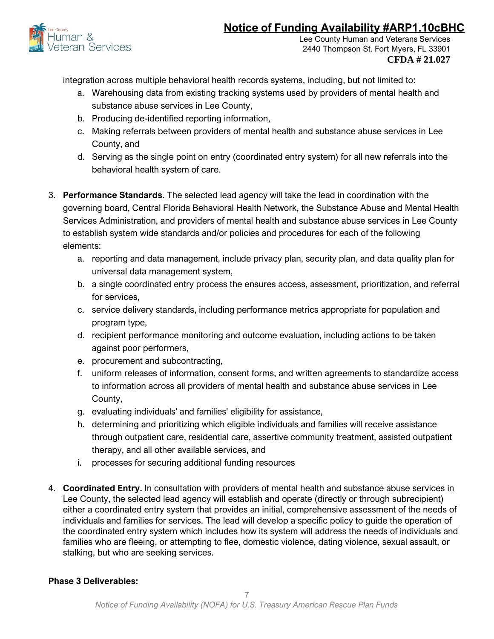

Lee County Human and Veterans Services 2440 Thompson St. Fort Myers, FL 33901 **CFDA # 21.027**

integration across multiple behavioral health records systems, including, but not limited to:

- a. Warehousing data from existing tracking systems used by providers of mental health and substance abuse services in Lee County,
- b. Producing de-identified reporting information,
- c. Making referrals between providers of mental health and substance abuse services in Lee County, and
- d. Serving as the single point on entry (coordinated entry system) for all new referrals into the behavioral health system of care.
- 3. **Performance Standards.** The selected lead agency will take the lead in coordination with the governing board, Central Florida Behavioral Health Network, the Substance Abuse and Mental Health Services Administration, and providers of mental health and substance abuse services in Lee County to establish system wide standards and/or policies and procedures for each of the following elements:
	- a. reporting and data management, include privacy plan, security plan, and data quality plan for universal data management system,
	- b. a single coordinated entry process the ensures access, assessment, prioritization, and referral for services,
	- c. service delivery standards, including performance metrics appropriate for population and program type,
	- d. recipient performance monitoring and outcome evaluation, including actions to be taken against poor performers,
	- e. procurement and subcontracting,
	- f. uniform releases of information, consent forms, and written agreements to standardize access to information across all providers of mental health and substance abuse services in Lee County,
	- g. evaluating individuals' and families' eligibility for assistance,
	- h. determining and prioritizing which eligible individuals and families will receive assistance through outpatient care, residential care, assertive community treatment, assisted outpatient therapy, and all other available services, and
	- i. processes for securing additional funding resources
- 4. **Coordinated Entry.** In consultation with providers of mental health and substance abuse services in Lee County, the selected lead agency will establish and operate (directly or through subrecipient) either a coordinated entry system that provides an initial, comprehensive assessment of the needs of individuals and families for services. The lead will develop a specific policy to guide the operation of the coordinated entry system which includes how its system will address the needs of individuals and families who are fleeing, or attempting to flee, domestic violence, dating violence, sexual assault, or stalking, but who are seeking services.

#### **Phase 3 Deliverables:**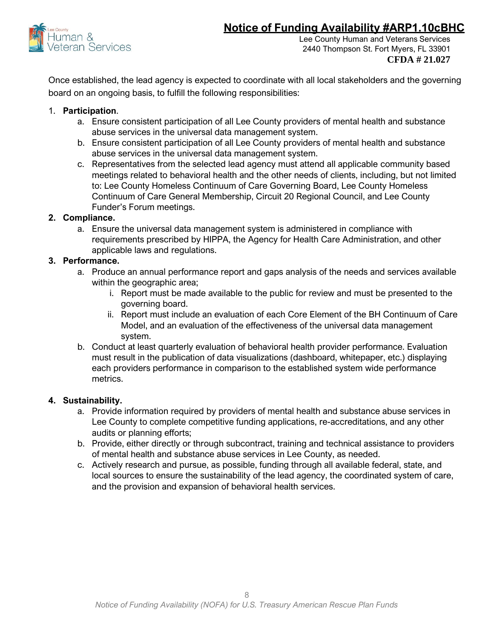

Lee County Human and Veterans Services 2440 Thompson St. Fort Myers, FL 33901 **CFDA # 21.027**

Once established, the lead agency is expected to coordinate with all local stakeholders and the governing board on an ongoing basis, to fulfill the following responsibilities:

#### 1. **Participation**.

- a. Ensure consistent participation of all Lee County providers of mental health and substance abuse services in the universal data management system.
- b. Ensure consistent participation of all Lee County providers of mental health and substance abuse services in the universal data management system.
- c. Representatives from the selected lead agency must attend all applicable community based meetings related to behavioral health and the other needs of clients, including, but not limited to: Lee County Homeless Continuum of Care Governing Board, Lee County Homeless Continuum of Care General Membership, Circuit 20 Regional Council, and Lee County Funder's Forum meetings.

#### **2. Compliance.**

a. Ensure the universal data management system is administered in compliance with requirements prescribed by HIPPA, the Agency for Health Care Administration, and other applicable laws and regulations.

#### **3. Performance.**

- a. Produce an annual performance report and gaps analysis of the needs and services available within the geographic area;
	- i. Report must be made available to the public for review and must be presented to the governing board.
	- ii. Report must include an evaluation of each Core Element of the BH Continuum of Care Model, and an evaluation of the effectiveness of the universal data management system.
- b. Conduct at least quarterly evaluation of behavioral health provider performance. Evaluation must result in the publication of data visualizations (dashboard, whitepaper, etc.) displaying each providers performance in comparison to the established system wide performance metrics.

#### **4. Sustainability.**

- a. Provide information required by providers of mental health and substance abuse services in Lee County to complete competitive funding applications, re-accreditations, and any other audits or planning efforts;
- b. Provide, either directly or through subcontract, training and technical assistance to providers of mental health and substance abuse services in Lee County, as needed.
- c. Actively research and pursue, as possible, funding through all available federal, state, and local sources to ensure the sustainability of the lead agency, the coordinated system of care, and the provision and expansion of behavioral health services.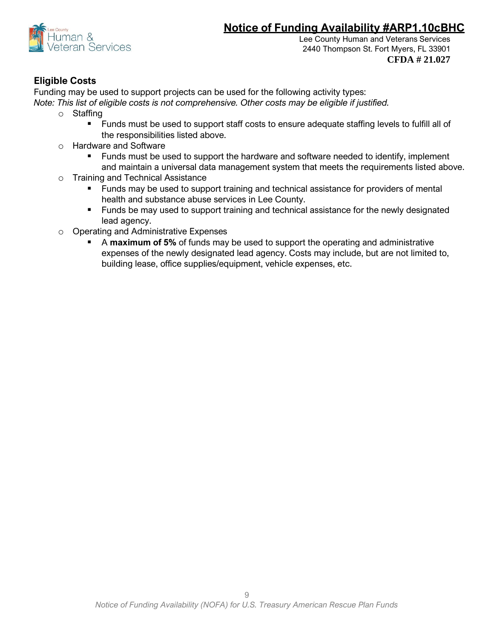

### **Eligible Costs**

Funding may be used to support projects can be used for the following activity types:

*Note: This list of eligible costs is not comprehensive. Other costs may be eligible if justified.*

- o Staffing
	- Funds must be used to support staff costs to ensure adequate staffing levels to fulfill all of the responsibilities listed above.
- o Hardware and Software
	- Funds must be used to support the hardware and software needed to identify, implement and maintain a universal data management system that meets the requirements listed above.
- o Training and Technical Assistance
	- Funds may be used to support training and technical assistance for providers of mental health and substance abuse services in Lee County.
	- Funds be may used to support training and technical assistance for the newly designated lead agency.
- o Operating and Administrative Expenses
	- A **maximum of 5%** of funds may be used to support the operating and administrative expenses of the newly designated lead agency. Costs may include, but are not limited to, building lease, office supplies/equipment, vehicle expenses, etc.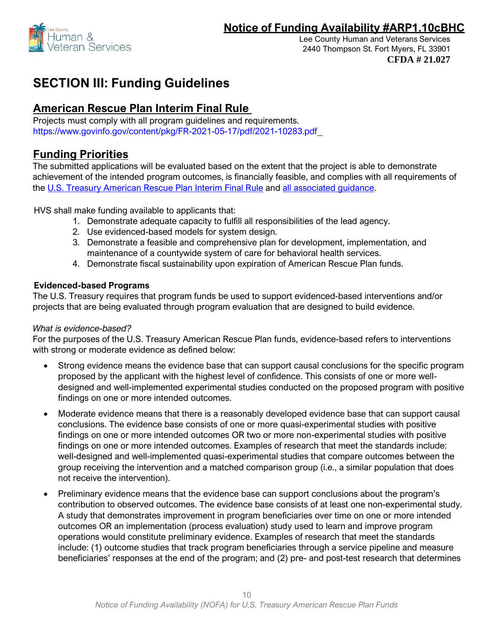

# **SECTION III: Funding Guidelines**

# **American Rescue Plan Interim Final Rule**

Projects must comply with all program guidelines and requirements. <https://www.govinfo.gov/content/pkg/FR-2021-05-17/pdf/2021-10283.pdf>

## **Funding Priorities**

The submitted applications will be evaluated based on the extent that the project is able to demonstrate achievement of the intended program outcomes, is financially feasible, and complies with all requirements of the [U.S. Treasury American Rescue Plan Interim Final Rule](https://www.govinfo.gov/content/pkg/FR-2021-05-17/pdf/2021-10283.pdf) and [all associated guidance.](https://home.treasury.gov/policy-issues/coronavirus/assistance-for-state-local-and-tribal-governments/state-and-local-fiscal-recovery-funds/recipient-compliance-and-reporting-responsibilities)

HVS shall make funding available to applicants that:

- 1. Demonstrate adequate capacity to fulfill all responsibilities of the lead agency.
- 2. Use evidenced-based models for system design.
- 3. Demonstrate a feasible and comprehensive plan for development, implementation, and maintenance of a countywide system of care for behavioral health services.
- 4. Demonstrate fiscal sustainability upon expiration of American Rescue Plan funds.

### **Evidenced-based Programs**

The U.S. Treasury requires that program funds be used to support evidenced-based interventions and/or projects that are being evaluated through program evaluation that are designed to build evidence.

#### *What is evidence-based?*

For the purposes of the U.S. Treasury American Rescue Plan funds, evidence-based refers to interventions with strong or moderate evidence as defined below:

- Strong evidence means the evidence base that can support causal conclusions for the specific program proposed by the applicant with the highest level of confidence. This consists of one or more welldesigned and well-implemented experimental studies conducted on the proposed program with positive findings on one or more intended outcomes.
- Moderate evidence means that there is a reasonably developed evidence base that can support causal conclusions. The evidence base consists of one or more quasi-experimental studies with positive findings on one or more intended outcomes OR two or more non-experimental studies with positive findings on one or more intended outcomes. Examples of research that meet the standards include: well-designed and well-implemented quasi-experimental studies that compare outcomes between the group receiving the intervention and a matched comparison group (i.e., a similar population that does not receive the intervention).
- Preliminary evidence means that the evidence base can support conclusions about the program's contribution to observed outcomes. The evidence base consists of at least one non-experimental study. A study that demonstrates improvement in program beneficiaries over time on one or more intended outcomes OR an implementation (process evaluation) study used to learn and improve program operations would constitute preliminary evidence. Examples of research that meet the standards include: (1) outcome studies that track program beneficiaries through a service pipeline and measure beneficiaries' responses at the end of the program; and (2) pre- and post-test research that determines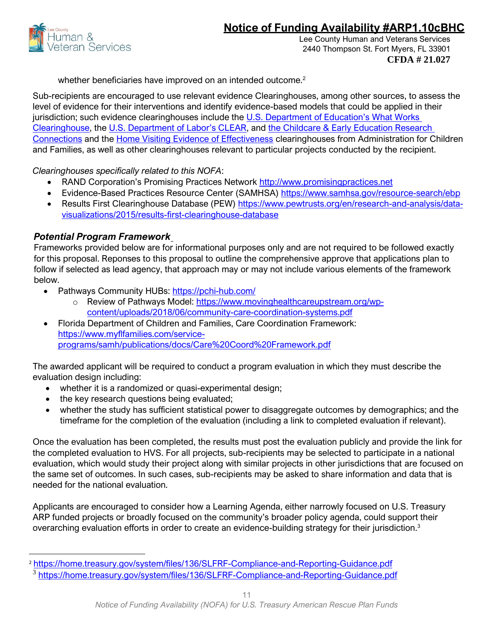



whether beneficiaries have improved on an intended outcome.<sup>2</sup>

Sub-recipients are encouraged to use relevant evidence Clearinghouses, among other sources, to assess the level of evidence for their interventions and identify evidence-based models that could be applied in their jurisdiction; such evidence clearinghouses include the [U.S. Department of Education's W](https://ies.ed.gov/ncee/wwc/#:%7E:text=The%20What%20Works%20Clearinghouse%20(WWC,to%20make%20evidence%2Dbased%20decisions.)hat Works [Clearinghouse,](https://ies.ed.gov/ncee/wwc/#:%7E:text=The%20What%20Works%20Clearinghouse%20(WWC,to%20make%20evidence%2Dbased%20decisions.) the [U.S. Department of Labor's CLEAR](https://clear.dol.gov/), and [the Childcare & Early Education Research](https://www.researchconnections.org/childcare/welcome)  [Connections](https://www.researchconnections.org/childcare/welcome) and the [Home Visiting Evidence of Effectiveness](https://homvee.acf.hhs.gov/) clearinghouses from Administration for Children and Families, as well as other clearinghouses relevant to particular projects conducted by the recipient.

*Clearinghouses specifically related to this NOFA*:

- RAND Corporation's Promising Practices Network [http://www.promisingpractices.net](http://www.promisingpractices.net/)
- Evidence-Based Practices Resource Center (SAMHSA)<https://www.samhsa.gov/resource-search/ebp>
- Results First Clearinghouse Database (PEW) [https://www.pewtrusts.org/en/research-and-analysis/data](https://www.pewtrusts.org/en/research-and-analysis/data-visualizations/2015/results-first-clearinghouse-database)[visualizations/2015/results-first-clearinghouse-database](https://www.pewtrusts.org/en/research-and-analysis/data-visualizations/2015/results-first-clearinghouse-database)

### *Potential Program Framework*

Frameworks provided below are for informational purposes only and are not required to be followed exactly for this proposal. Reponses to this proposal to outline the comprehensive approve that applications plan to follow if selected as lead agency, that approach may or may not include various elements of the framework below.

- Pathways Community HUBs:<https://pchi-hub.com/>
	- o Review of Pathways Model: [https://www.movinghealthcareupstream.org/wp](https://www.movinghealthcareupstream.org/wp-content/uploads/2018/06/community-care-coordination-systems.pdf)[content/uploads/2018/06/community-care-coordination-systems.pdf](https://www.movinghealthcareupstream.org/wp-content/uploads/2018/06/community-care-coordination-systems.pdf)
- Florida Department of Children and Families, Care Coordination Framework: [https://www.myflfamilies.com/service](https://www.myflfamilies.com/service-programs/samh/publications/docs/Care%20Coord%20Framework.pdf)[programs/samh/publications/docs/Care%20Coord%20Framework.pdf](https://www.myflfamilies.com/service-programs/samh/publications/docs/Care%20Coord%20Framework.pdf)

The awarded applicant will be required to conduct a program evaluation in which they must describe the evaluation design including:

- whether it is a randomized or quasi-experimental design;
- the key research questions being evaluated;
- whether the study has sufficient statistical power to disaggregate outcomes by demographics; and the timeframe for the completion of the evaluation (including a link to completed evaluation if relevant).

Once the evaluation has been completed, the results must post the evaluation publicly and provide the link for the completed evaluation to HVS. For all projects, sub-recipients may be selected to participate in a national evaluation, which would study their project along with similar projects in other jurisdictions that are focused on the same set of outcomes. In such cases, sub-recipients may be asked to share information and data that is needed for the national evaluation.

Applicants are encouraged to consider how a Learning Agenda, either narrowly focused on U.S. Treasury ARP funded projects or broadly focused on the community's broader policy agenda, could support their overarching evaluation efforts in order to create an evidence-building strategy for their jurisdiction.<sup>3</sup>

<sup>2</sup> <https://home.treasury.gov/system/files/136/SLFRF-Compliance-and-Reporting-Guidance.pdf>

<sup>&</sup>lt;sup>3</sup> <https://home.treasury.gov/system/files/136/SLFRF-Compliance-and-Reporting-Guidance.pdf>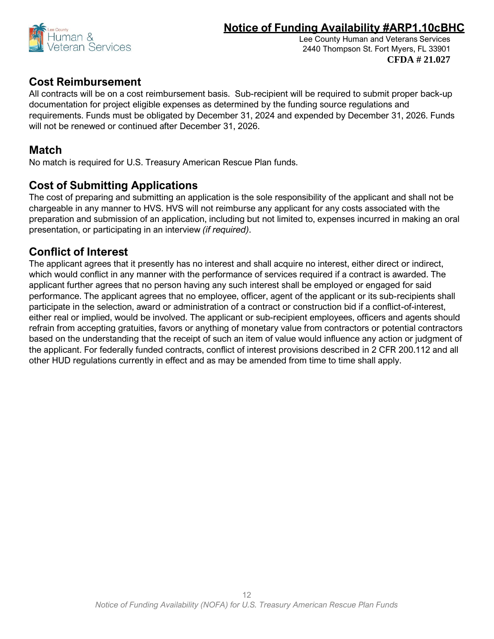

Lee County Human and Veterans Services 2440 Thompson St. Fort Myers, FL 33901 **CFDA # 21.027**

# **Cost Reimbursement**

All contracts will be on a cost reimbursement basis. Sub-recipient will be required to submit proper back-up documentation for project eligible expenses as determined by the funding source regulations and requirements. Funds must be obligated by December 31, 2024 and expended by December 31, 2026. Funds will not be renewed or continued after December 31, 2026.

# **Match**

No match is required for U.S. Treasury American Rescue Plan funds.

# **Cost of Submitting Applications**

The cost of preparing and submitting an application is the sole responsibility of the applicant and shall not be chargeable in any manner to HVS. HVS will not reimburse any applicant for any costs associated with the preparation and submission of an application, including but not limited to, expenses incurred in making an oral presentation, or participating in an interview *(if required)*.

# **Conflict of Interest**

The applicant agrees that it presently has no interest and shall acquire no interest, either direct or indirect, which would conflict in any manner with the performance of services required if a contract is awarded. The applicant further agrees that no person having any such interest shall be employed or engaged for said performance. The applicant agrees that no employee, officer, agent of the applicant or its sub-recipients shall participate in the selection, award or administration of a contract or construction bid if a conflict-of-interest, either real or implied, would be involved. The applicant or sub-recipient employees, officers and agents should refrain from accepting gratuities, favors or anything of monetary value from contractors or potential contractors based on the understanding that the receipt of such an item of value would influence any action or judgment of the applicant. For federally funded contracts, conflict of interest provisions described in 2 CFR 200.112 and all other HUD regulations currently in effect and as may be amended from time to time shall apply.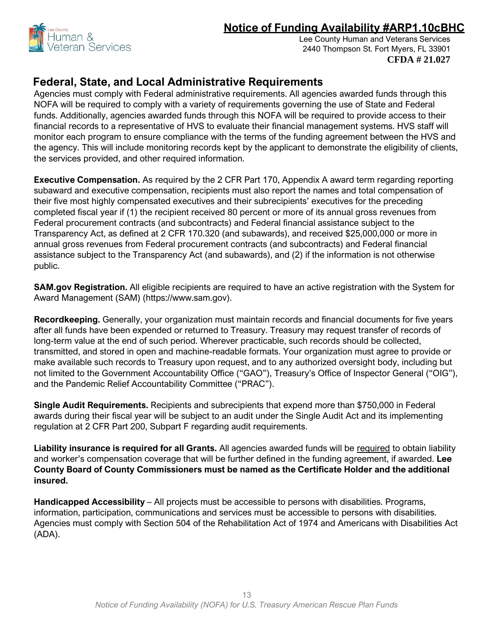

Lee County Human and Veterans Services 2440 Thompson St. Fort Myers, FL 33901 **CFDA # 21.027**

### **Federal, State, and Local Administrative Requirements**

Agencies must comply with Federal administrative requirements. All agencies awarded funds through this NOFA will be required to comply with a variety of requirements governing the use of State and Federal funds. Additionally, agencies awarded funds through this NOFA will be required to provide access to their financial records to a representative of HVS to evaluate their financial management systems. HVS staff will monitor each program to ensure compliance with the terms of the funding agreement between the HVS and the agency. This will include monitoring records kept by the applicant to demonstrate the eligibility of clients, the services provided, and other required information.

**Executive Compensation.** As required by the 2 CFR Part 170, Appendix A award term regarding reporting subaward and executive compensation, recipients must also report the names and total compensation of their five most highly compensated executives and their subrecipients' executives for the preceding completed fiscal year if (1) the recipient received 80 percent or more of its annual gross revenues from Federal procurement contracts (and subcontracts) and Federal financial assistance subject to the Transparency Act, as defined at 2 CFR 170.320 (and subawards), and received \$25,000,000 or more in annual gross revenues from Federal procurement contracts (and subcontracts) and Federal financial assistance subject to the Transparency Act (and subawards), and (2) if the information is not otherwise public.

**SAM.gov Registration.** All eligible recipients are required to have an active registration with the System for Award Management (SAM) (https://www.sam.gov).

**Recordkeeping.** Generally, your organization must maintain records and financial documents for five years after all funds have been expended or returned to Treasury. Treasury may request transfer of records of long-term value at the end of such period. Wherever practicable, such records should be collected, transmitted, and stored in open and machine-readable formats. Your organization must agree to provide or make available such records to Treasury upon request, and to any authorized oversight body, including but not limited to the Government Accountability Office ("GAO"), Treasury's Office of Inspector General ("OIG"), and the Pandemic Relief Accountability Committee ("PRAC").

**Single Audit Requirements.** Recipients and subrecipients that expend more than \$750,000 in Federal awards during their fiscal year will be subject to an audit under the Single Audit Act and its implementing regulation at 2 CFR Part 200, Subpart F regarding audit requirements.

**Liability insurance is required for all Grants.** All agencies awarded funds will be required to obtain liability and worker's compensation coverage that will be further defined in the funding agreement, if awarded. **Lee County Board of County Commissioners must be named as the Certificate Holder and the additional insured.** 

**Handicapped Accessibility** – All projects must be accessible to persons with disabilities. Programs, information, participation, communications and services must be accessible to persons with disabilities. Agencies must comply with Section 504 of the Rehabilitation Act of 1974 and Americans with Disabilities Act (ADA).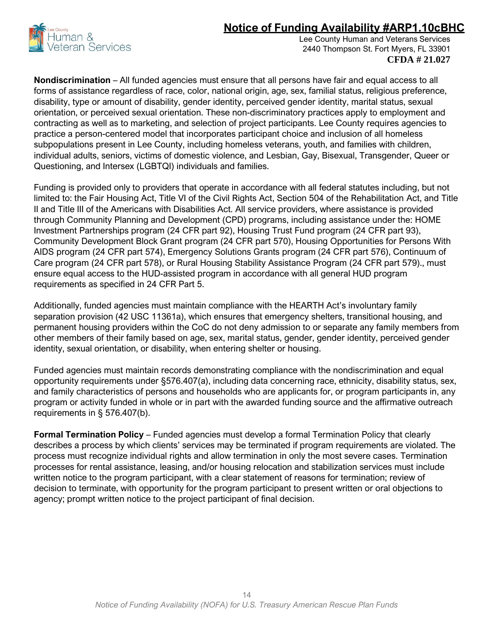

Lee County Human and Veterans Services 2440 Thompson St. Fort Myers, FL 33901 **CFDA # 21.027**

**Nondiscrimination** – All funded agencies must ensure that all persons have fair and equal access to all forms of assistance regardless of race, color, national origin, age, sex, familial status, religious preference, disability, type or amount of disability, gender identity, perceived gender identity, marital status, sexual orientation, or perceived sexual orientation. These non-discriminatory practices apply to employment and contracting as well as to marketing, and selection of project participants. Lee County requires agencies to practice a person-centered model that incorporates participant choice and inclusion of all homeless subpopulations present in Lee County, including homeless veterans, youth, and families with children, individual adults, seniors, victims of domestic violence, and Lesbian, Gay, Bisexual, Transgender, Queer or Questioning, and Intersex (LGBTQI) individuals and families.

Funding is provided only to providers that operate in accordance with all federal statutes including, but not limited to: the Fair Housing Act, Title VI of the Civil Rights Act, Section 504 of the Rehabilitation Act, and Title II and Title III of the Americans with Disabilities Act. All service providers, where assistance is provided through Community Planning and Development (CPD) programs, including assistance under the: HOME Investment Partnerships program (24 CFR part 92), Housing Trust Fund program (24 CFR part 93), Community Development Block Grant program (24 CFR part 570), Housing Opportunities for Persons With AIDS program (24 CFR part 574), Emergency Solutions Grants program (24 CFR part 576), Continuum of Care program (24 CFR part 578), or Rural Housing Stability Assistance Program (24 CFR part 579)., must ensure equal access to the HUD-assisted program in accordance with all general HUD program requirements as specified in 24 CFR Part 5.

Additionally, funded agencies must maintain compliance with the HEARTH Act's involuntary family separation provision (42 USC 11361a), which ensures that emergency shelters, transitional housing, and permanent housing providers within the CoC do not deny admission to or separate any family members from other members of their family based on age, sex, marital status, gender, gender identity, perceived gender identity, sexual orientation, or disability, when entering shelter or housing.

Funded agencies must maintain records demonstrating compliance with the nondiscrimination and equal opportunity requirements under §576.407(a), including data concerning race, ethnicity, disability status, sex, and family characteristics of persons and households who are applicants for, or program participants in, any program or activity funded in whole or in part with the awarded funding source and the affirmative outreach requirements in § 576.407(b).

**Formal Termination Policy** – Funded agencies must develop a formal Termination Policy that clearly describes a process by which clients' services may be terminated if program requirements are violated. The process must recognize individual rights and allow termination in only the most severe cases. Termination processes for rental assistance, leasing, and/or housing relocation and stabilization services must include written notice to the program participant, with a clear statement of reasons for termination; review of decision to terminate, with opportunity for the program participant to present written or oral objections to agency; prompt written notice to the project participant of final decision.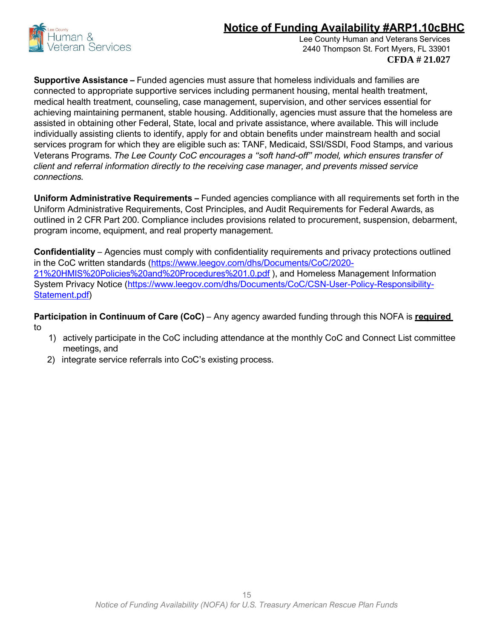

Lee County Human and Veterans Services 2440 Thompson St. Fort Myers, FL 33901 **CFDA # 21.027**

**Supportive Assistance –** Funded agencies must assure that homeless individuals and families are connected to appropriate supportive services including permanent housing, mental health treatment, medical health treatment, counseling, case management, supervision, and other services essential for achieving maintaining permanent, stable housing. Additionally, agencies must assure that the homeless are assisted in obtaining other Federal, State, local and private assistance, where available. This will include individually assisting clients to identify, apply for and obtain benefits under mainstream health and social services program for which they are eligible such as: TANF, Medicaid, SSI/SSDI, Food Stamps, and various Veterans Programs. *The Lee County CoC encourages a "soft hand-off" model, which ensures transfer of client and referral information directly to the receiving case manager, and prevents missed service connections.*

**Uniform Administrative Requirements –** Funded agencies compliance with all requirements set forth in the Uniform Administrative Requirements, Cost Principles, and Audit Requirements for Federal Awards, as outlined in 2 CFR Part 200. Compliance includes provisions related to procurement, suspension, debarment, program income, equipment, and real property management.

**Confidentiality** – Agencies must comply with confidentiality requirements and privacy protections outlined in the CoC written standards [\(https://www.leegov.com/dhs/Documents/CoC/2020-](https://www.leegov.com/dhs/Documents/CoC/2020-21%20HMIS%20Policies%20and%20Procedures%201.0.pdf) [21%20HMIS%20Policies%20and%20Procedures%201.0.pdf](https://www.leegov.com/dhs/Documents/CoC/2020-21%20HMIS%20Policies%20and%20Procedures%201.0.pdf) ), and Homeless Management Information System Privacy Notice [\(https://www.leegov.com/dhs/Documents/CoC/CSN-User-Policy-Responsibility-](https://www.leegov.com/dhs/Documents/CoC/CSN-User-Policy-Responsibility-Statement.pdf)[Statement.pdf\)](https://www.leegov.com/dhs/Documents/CoC/CSN-User-Policy-Responsibility-Statement.pdf)

**Participation in Continuum of Care (CoC)** *–* Any agency awarded funding through this NOFA is **required**  to

- 1) actively participate in the CoC including attendance at the monthly CoC and Connect List committee meetings, and
- 2) integrate service referrals into CoC's existing process.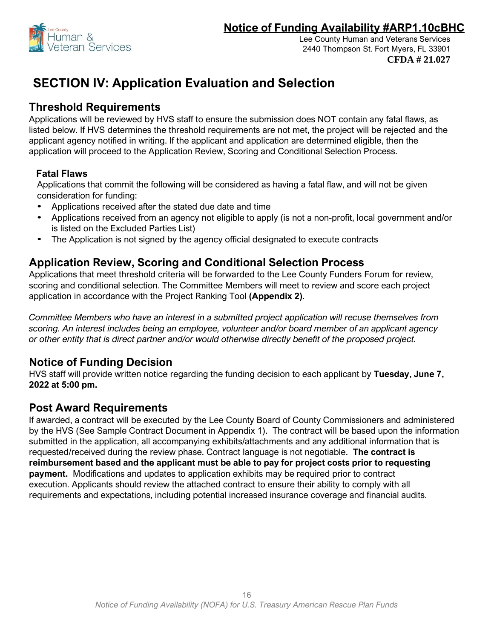

# **SECTION IV: Application Evaluation and Selection**

### **Threshold Requirements**

Applications will be reviewed by HVS staff to ensure the submission does NOT contain any fatal flaws, as listed below. If HVS determines the threshold requirements are not met, the project will be rejected and the applicant agency notified in writing. If the applicant and application are determined eligible, then the application will proceed to the Application Review, Scoring and Conditional Selection Process.

### **Fatal Flaws**

Applications that commit the following will be considered as having a fatal flaw, and will not be given consideration for funding:

- Applications received after the stated due date and time
- Applications received from an agency not eligible to apply (is not a non-profit, local government and/or is listed on the Excluded Parties List)
- The Application is not signed by the agency official designated to execute contracts

## **Application Review, Scoring and Conditional Selection Process**

Applications that meet threshold criteria will be forwarded to the Lee County Funders Forum for review, scoring and conditional selection. The Committee Members will meet to review and score each project application in accordance with the Project Ranking Tool **(Appendix 2)**.

*Committee Members who have an interest in a submitted project application will recuse themselves from scoring. An interest includes being an employee, volunteer and/or board member of an applicant agency or other entity that is direct partner and/or would otherwise directly benefit of the proposed project.*

## **Notice of Funding Decision**

HVS staff will provide written notice regarding the funding decision to each applicant by **Tuesday, June 7, 2022 at 5:00 pm.**

### **Post Award Requirements**

If awarded, a contract will be executed by the Lee County Board of County Commissioners and administered by the HVS (See Sample Contract Document in Appendix 1). The contract will be based upon the information submitted in the application, all accompanying exhibits/attachments and any additional information that is requested/received during the review phase. Contract language is not negotiable. **The contract is reimbursement based and the applicant must be able to pay for project costs prior to requesting payment.** Modifications and updates to application exhibits may be required prior to contract execution. Applicants should review the attached contract to ensure their ability to comply with all requirements and expectations, including potential increased insurance coverage and financial audits.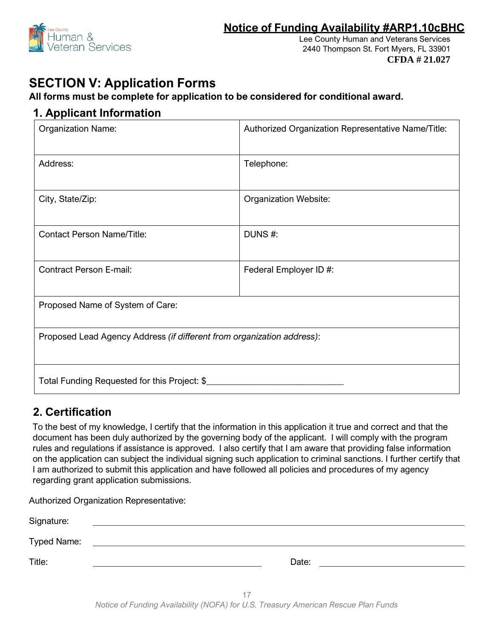

Lee County Human and Veterans Services 2440 Thompson St. Fort Myers, FL 33901 **CFDA # 21.027**

# **SECTION V: Application Forms**

### **All forms must be complete for application to be considered for conditional award.**

### **1. Applicant Information**

| <b>Organization Name:</b>                                              | Authorized Organization Representative Name/Title: |  |
|------------------------------------------------------------------------|----------------------------------------------------|--|
| Address:                                                               | Telephone:                                         |  |
| City, State/Zip:                                                       | Organization Website:                              |  |
| <b>Contact Person Name/Title:</b>                                      | DUNS#:                                             |  |
| <b>Contract Person E-mail:</b>                                         | Federal Employer ID #:                             |  |
| Proposed Name of System of Care:                                       |                                                    |  |
| Proposed Lead Agency Address (if different from organization address): |                                                    |  |
| Total Funding Requested for this Project: \$                           |                                                    |  |

# **2. Certification**

To the best of my knowledge, I certify that the information in this application it true and correct and that the document has been duly authorized by the governing body of the applicant. I will comply with the program rules and regulations if assistance is approved. I also certify that I am aware that providing false information on the application can subject the individual signing such application to criminal sanctions. I further certify that I am authorized to submit this application and have followed all policies and procedures of my agency regarding grant application submissions.

Authorized Organization Representative:

| Signature:         | <u> 1980 - Jan Stein Harry Harry Harry Harry Harry Harry Harry Harry Harry Harry Harry Harry Harry Harry Harry</u> |
|--------------------|--------------------------------------------------------------------------------------------------------------------|
| <b>Typed Name:</b> |                                                                                                                    |
| Title:             | Date:                                                                                                              |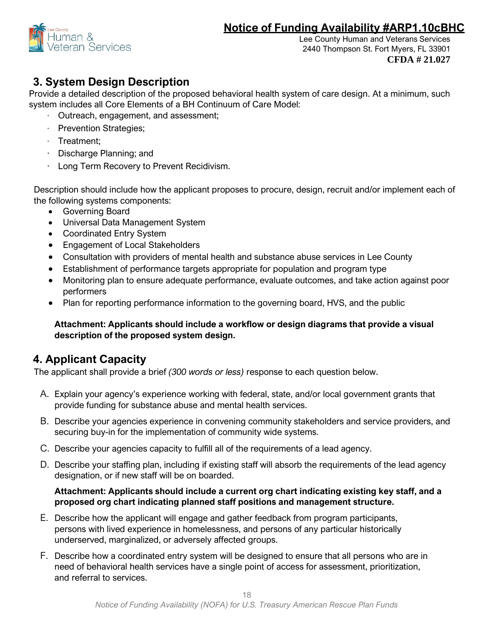

Lee County Human and Veterans Services 2440 Thompson St. Fort Myers, FL 33901 **CFDA # 21.027**

# **3. System Design Description**

Provide a detailed description of the proposed behavioral health system of care design. At a minimum, such system includes all Core Elements of a BH Continuum of Care Model:

- · Outreach, engagement, and assessment;
- · Prevention Strategies;
- · Treatment;
- · Discharge Planning; and
- Long Term Recovery to Prevent Recidivism.

Description should include how the applicant proposes to procure, design, recruit and/or implement each of the following systems components:

- Governing Board
- Universal Data Management System
- Coordinated Entry System
- Engagement of Local Stakeholders
- Consultation with providers of mental health and substance abuse services in Lee County
- Establishment of performance targets appropriate for population and program type
- Monitoring plan to ensure adequate performance, evaluate outcomes, and take action against poor performers
- Plan for reporting performance information to the governing board, HVS, and the public

### **Attachment: Applicants should include a workflow or design diagrams that provide a visual description of the proposed system design.**

# **4. Applicant Capacity**

The applicant shall provide a brief *(300 words or less)* response to each question below.

- A. Explain your agency's experience working with federal, state, and/or local government grants that provide funding for substance abuse and mental health services.
- B. Describe your agencies experience in convening community stakeholders and service providers, and securing buy-in for the implementation of community wide systems.
- C. Describe your agencies capacity to fulfill all of the requirements of a lead agency.
- D. Describe your staffing plan, including if existing staff will absorb the requirements of the lead agency designation, or if new staff will be on boarded.

### **Attachment: Applicants should include a current org chart indicating existing key staff, and a proposed org chart indicating planned staff positions and management structure.**

- E. Describe how the applicant will engage and gather feedback from program participants, persons with lived experience in homelessness, and persons of any particular historically underserved, marginalized, or adversely affected groups.
- F. Describe how a coordinated entry system will be designed to ensure that all persons who are in need of behavioral health services have a single point of access for assessment, prioritization, and referral to services.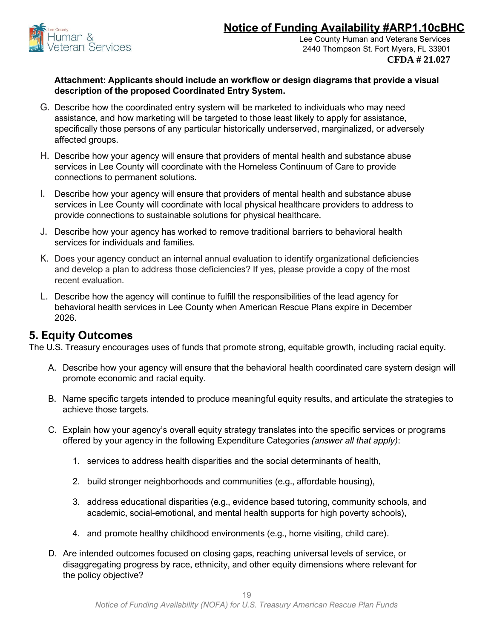

#### **Attachment: Applicants should include an workflow or design diagrams that provide a visual description of the proposed Coordinated Entry System.**

- G. Describe how the coordinated entry system will be marketed to individuals who may need assistance, and how marketing will be targeted to those least likely to apply for assistance, specifically those persons of any particular historically underserved, marginalized, or adversely affected groups.
- H. Describe how your agency will ensure that providers of mental health and substance abuse services in Lee County will coordinate with the Homeless Continuum of Care to provide connections to permanent solutions.
- I. Describe how your agency will ensure that providers of mental health and substance abuse services in Lee County will coordinate with local physical healthcare providers to address to provide connections to sustainable solutions for physical healthcare.
- J. Describe how your agency has worked to remove traditional barriers to behavioral health services for individuals and families.
- K. Does your agency conduct an internal annual evaluation to identify organizational deficiencies and develop a plan to address those deficiencies? If yes, please provide a copy of the most recent evaluation.
- L. Describe how the agency will continue to fulfill the responsibilities of the lead agency for behavioral health services in Lee County when American Rescue Plans expire in December 2026.

### **5. Equity Outcomes**

The U.S. Treasury encourages uses of funds that promote strong, equitable growth, including racial equity.

- A. Describe how your agency will ensure that the behavioral health coordinated care system design will promote economic and racial equity.
- B. Name specific targets intended to produce meaningful equity results, and articulate the strategies to achieve those targets.
- C. Explain how your agency's overall equity strategy translates into the specific services or programs offered by your agency in the following Expenditure Categories *(answer all that apply)*:
	- 1. services to address health disparities and the social determinants of health,
	- 2. build stronger neighborhoods and communities (e.g., affordable housing),
	- 3. address educational disparities (e.g., evidence based tutoring, community schools, and academic, social-emotional, and mental health supports for high poverty schools),
	- 4. and promote healthy childhood environments (e.g., home visiting, child care).
- D. Are intended outcomes focused on closing gaps, reaching universal levels of service, or disaggregating progress by race, ethnicity, and other equity dimensions where relevant for the policy objective?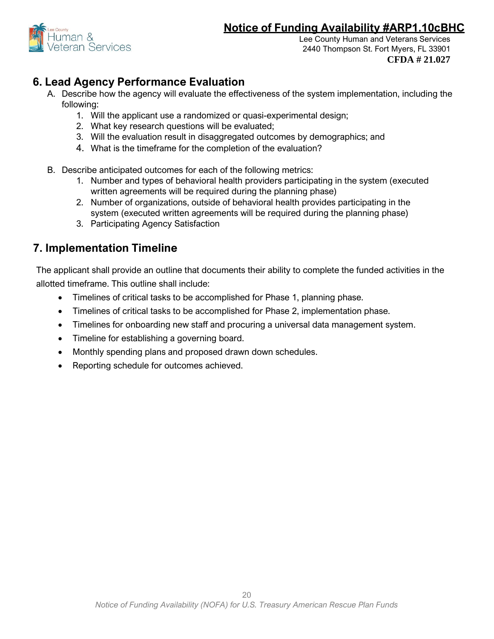

Lee County Human and Veterans Services 2440 Thompson St. Fort Myers, FL 33901 **CFDA # 21.027**

# **6. Lead Agency Performance Evaluation**

- A. Describe how the agency will evaluate the effectiveness of the system implementation, including the following:
	- 1. Will the applicant use a randomized or quasi-experimental design;
	- 2. What key research questions will be evaluated;
	- 3. Will the evaluation result in disaggregated outcomes by demographics; and
	- 4. What is the timeframe for the completion of the evaluation?
- B. Describe anticipated outcomes for each of the following metrics:
	- 1. Number and types of behavioral health providers participating in the system (executed written agreements will be required during the planning phase)
	- 2. Number of organizations, outside of behavioral health provides participating in the system (executed written agreements will be required during the planning phase)
	- 3. Participating Agency Satisfaction

# **7. Implementation Timeline**

The applicant shall provide an outline that documents their ability to complete the funded activities in the allotted timeframe. This outline shall include:

- Timelines of critical tasks to be accomplished for Phase 1, planning phase.
- Timelines of critical tasks to be accomplished for Phase 2, implementation phase.
- Timelines for onboarding new staff and procuring a universal data management system.
- Timeline for establishing a governing board.
- Monthly spending plans and proposed drawn down schedules.
- Reporting schedule for outcomes achieved.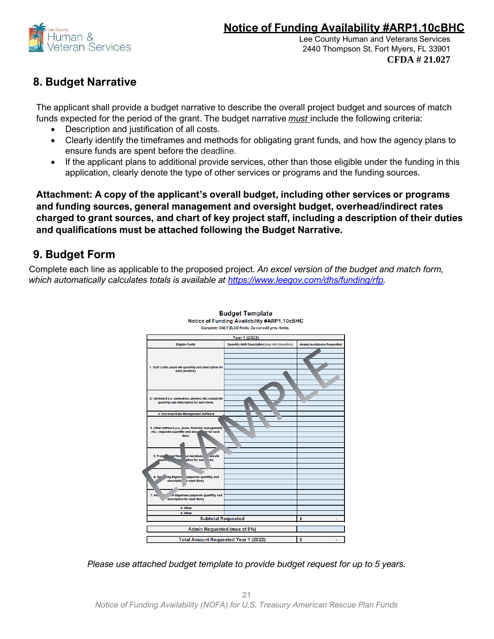

# **8. Budget Narrative**

The applicant shall provide a budget narrative to describe the overall project budget and sources of match funds expected for the period of the grant. The budget narrative *must* include the following criteria:

- Description and justification of all costs.
- Clearly identify the timeframes and methods for obligating grant funds, and how the agency plans to ensure funds are spent before the deadline.
- If the applicant plans to additional provide services, other than those eligible under the funding in this application, clearly denote the type of other services or programs and the funding sources.

**Attachment: A copy of the applicant's overall budget, including other services or programs and funding sources, general management and oversight budget, overhead/indirect rates charged to grant sources, and chart of key project staff, including a description of their duties and qualifications must be attached following the Budget Narrative.**

# **9. Budget Form**

Complete each line as applicable to the proposed project. *An excel version of the budget and match form, which automatically calculates totals is available at [https://www.leegov.com/dhs/funding/rfp.](https://www.leegov.com/dhs/funding/rfp)* 



**Budget Template** Notice of Funding Availability #ARP1.10cBHC

*Please use attached budget template to provide budget request for up to 5 years.*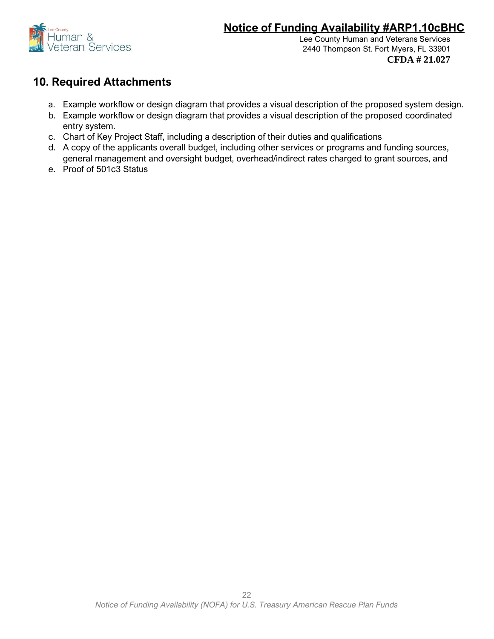

Lee County Human and Veterans Services 2440 Thompson St. Fort Myers, FL 33901 **CFDA # 21.027**

### **10. Required Attachments**

- a. Example workflow or design diagram that provides a visual description of the proposed system design.
- b. Example workflow or design diagram that provides a visual description of the proposed coordinated entry system.
- c. Chart of Key Project Staff, including a description of their duties and qualifications
- d. A copy of the applicants overall budget, including other services or programs and funding sources, general management and oversight budget, overhead/indirect rates charged to grant sources, and
- e. Proof of 501c3 Status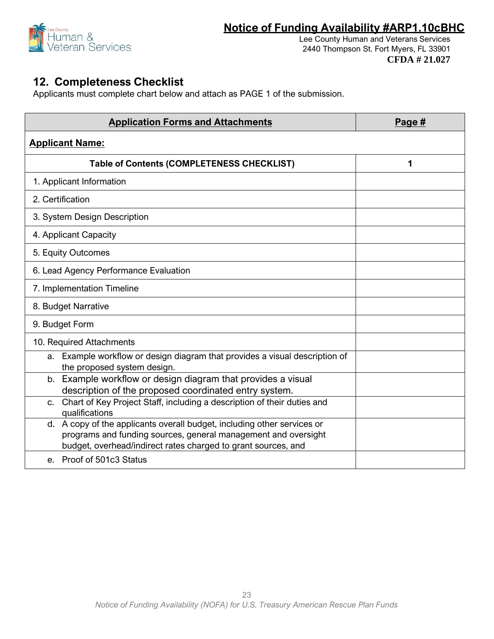

# **12. Completeness Checklist**

Applicants must complete chart below and attach as PAGE 1 of the submission.

| <b>Application Forms and Attachments</b>                                                                                                                                                                   | Page $#$ |  |  |
|------------------------------------------------------------------------------------------------------------------------------------------------------------------------------------------------------------|----------|--|--|
| <b>Applicant Name:</b>                                                                                                                                                                                     |          |  |  |
| <b>Table of Contents (COMPLETENESS CHECKLIST)</b>                                                                                                                                                          | 1        |  |  |
| 1. Applicant Information                                                                                                                                                                                   |          |  |  |
| 2. Certification                                                                                                                                                                                           |          |  |  |
| 3. System Design Description                                                                                                                                                                               |          |  |  |
| 4. Applicant Capacity                                                                                                                                                                                      |          |  |  |
| 5. Equity Outcomes                                                                                                                                                                                         |          |  |  |
| 6. Lead Agency Performance Evaluation                                                                                                                                                                      |          |  |  |
| 7. Implementation Timeline                                                                                                                                                                                 |          |  |  |
| 8. Budget Narrative                                                                                                                                                                                        |          |  |  |
| 9. Budget Form                                                                                                                                                                                             |          |  |  |
| 10. Required Attachments                                                                                                                                                                                   |          |  |  |
| Example workflow or design diagram that provides a visual description of<br>a.<br>the proposed system design.                                                                                              |          |  |  |
| b. Example workflow or design diagram that provides a visual<br>description of the proposed coordinated entry system.                                                                                      |          |  |  |
| Chart of Key Project Staff, including a description of their duties and<br>C <sub>1</sub><br>qualifications                                                                                                |          |  |  |
| d. A copy of the applicants overall budget, including other services or<br>programs and funding sources, general management and oversight<br>budget, overhead/indirect rates charged to grant sources, and |          |  |  |
| e. Proof of 501c3 Status                                                                                                                                                                                   |          |  |  |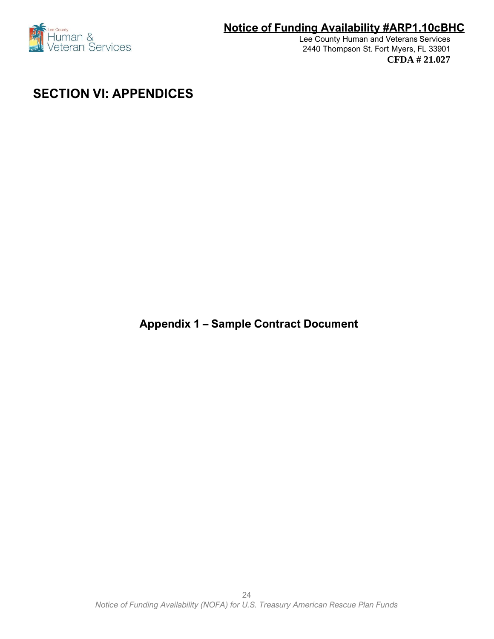

Lee County Human and Veterans Services 2440 Thompson St. Fort Myers, FL 33901 **CFDA # 21.027**

# **SECTION VI: APPENDICES**

**Appendix 1 – Sample Contract Document**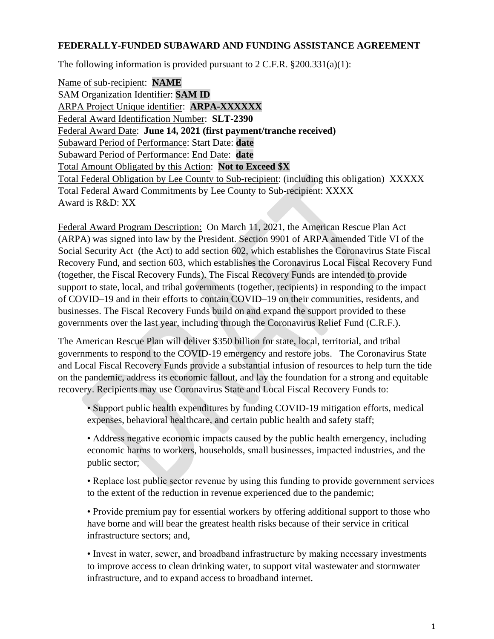### **FEDERALLY-FUNDED SUBAWARD AND FUNDING ASSISTANCE AGREEMENT**

The following information is provided pursuant to  $2 \text{ C.F.R. } $200.331(a)(1)$ :

Name of sub-recipient: **NAME** SAM Organization Identifier: **SAM ID** ARPA Project Unique identifier: **ARPA-XXXXXX** Federal Award Identification Number: **SLT-2390** Federal Award Date: **June 14, 2021 (first payment/tranche received)** Subaward Period of Performance: Start Date: **date** Subaward Period of Performance: End Date: **date** Total Amount Obligated by this Action: **Not to Exceed \$X** Total Federal Obligation by Lee County to Sub-recipient: (including this obligation) XXXXX Total Federal Award Commitments by Lee County to Sub-recipient: XXXX Award is R&D: XX

Federal Award Program Description: On March 11, 2021, the American Rescue Plan Act (ARPA) was signed into law by the President. Section 9901 of ARPA amended Title VI of the Social Security Act (the Act) to add section 602, which establishes the Coronavirus State Fiscal Recovery Fund, and section 603, which establishes the Coronavirus Local Fiscal Recovery Fund (together, the Fiscal Recovery Funds). The Fiscal Recovery Funds are intended to provide support to state, local, and tribal governments (together, recipients) in responding to the impact of COVID–19 and in their efforts to contain COVID–19 on their communities, residents, and businesses. The Fiscal Recovery Funds build on and expand the support provided to these governments over the last year, including through the Coronavirus Relief Fund (C.R.F.).

The American Rescue Plan will deliver \$350 billion for state, local, territorial, and tribal governments to respond to the COVID-19 emergency and restore jobs. The Coronavirus State and Local Fiscal Recovery Funds provide a substantial infusion of resources to help turn the tide on the pandemic, address its economic fallout, and lay the foundation for a strong and equitable recovery. Recipients may use Coronavirus State and Local Fiscal Recovery Funds to:

• Support public health expenditures by funding COVID-19 mitigation efforts, medical expenses, behavioral healthcare, and certain public health and safety staff;

• Address negative economic impacts caused by the public health emergency, including economic harms to workers, households, small businesses, impacted industries, and the public sector;

• Replace lost public sector revenue by using this funding to provide government services to the extent of the reduction in revenue experienced due to the pandemic;

• Provide premium pay for essential workers by offering additional support to those who have borne and will bear the greatest health risks because of their service in critical infrastructure sectors; and,

• Invest in water, sewer, and broadband infrastructure by making necessary investments to improve access to clean drinking water, to support vital wastewater and stormwater infrastructure, and to expand access to broadband internet.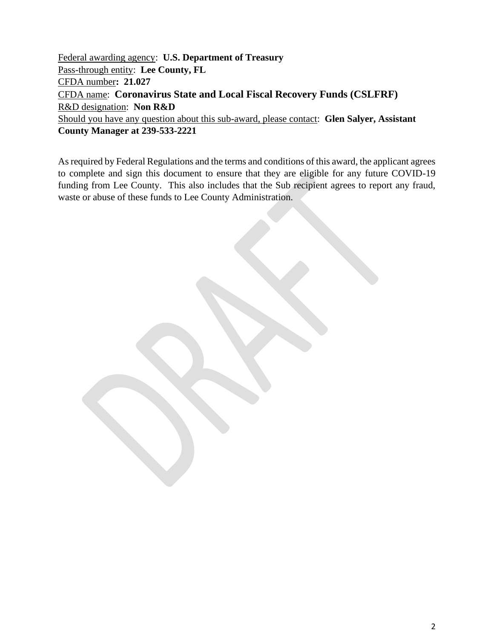Federal awarding agency: **U.S. Department of Treasury** Pass-through entity: **Lee County, FL** CFDA number**: 21.027** CFDA name: **Coronavirus State and Local Fiscal Recovery Funds (CSLFRF)** R&D designation: **Non R&D** Should you have any question about this sub-award, please contact: **Glen Salyer, Assistant County Manager at 239-533-2221**

As required by Federal Regulations and the terms and conditions of this award, the applicant agrees to complete and sign this document to ensure that they are eligible for any future COVID-19 funding from Lee County. This also includes that the Sub recipient agrees to report any fraud, waste or abuse of these funds to Lee County Administration.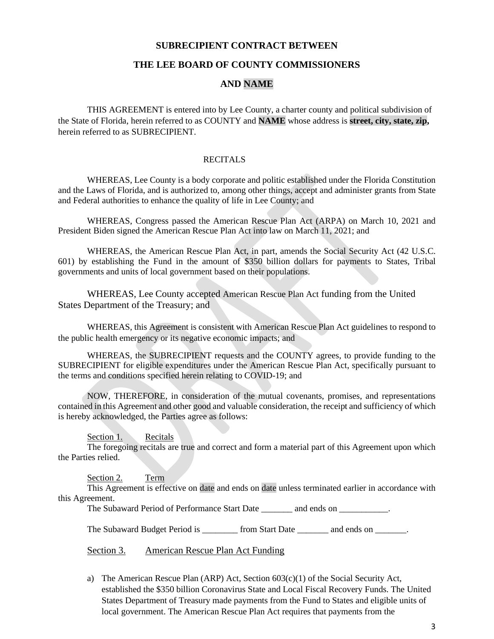#### **SUBRECIPIENT CONTRACT BETWEEN**

#### **THE LEE BOARD OF COUNTY COMMISSIONERS**

#### **AND NAME**

THIS AGREEMENT is entered into by Lee County, a charter county and political subdivision of the State of Florida, herein referred to as COUNTY and **NAME** whose address is **street, city, state, zip,** herein referred to as SUBRECIPIENT.

#### **RECITALS**

WHEREAS, Lee County is a body corporate and politic established under the Florida Constitution and the Laws of Florida, and is authorized to, among other things, accept and administer grants from State and Federal authorities to enhance the quality of life in Lee County; and

WHEREAS, Congress passed the American Rescue Plan Act (ARPA) on March 10, 2021 and President Biden signed the American Rescue Plan Act into law on March 11, 2021; and

WHEREAS, the American Rescue Plan Act, in part, amends the Social Security Act (42 U.S.C. 601) by establishing the Fund in the amount of \$350 billion dollars for payments to States, Tribal governments and units of local government based on their populations.

WHEREAS, Lee County accepted American Rescue Plan Act funding from the United States Department of the Treasury; and

WHEREAS, this Agreement is consistent with American Rescue Plan Act guidelines to respond to the public health emergency or its negative economic impacts; and

WHEREAS, the SUBRECIPIENT requests and the COUNTY agrees, to provide funding to the SUBRECIPIENT for eligible expenditures under the American Rescue Plan Act, specifically pursuant to the terms and conditions specified herein relating to COVID-19; and

NOW, THEREFORE, in consideration of the mutual covenants, promises, and representations contained in this Agreement and other good and valuable consideration, the receipt and sufficiency of which is hereby acknowledged, the Parties agree as follows:

Section 1. Recitals

The foregoing recitals are true and correct and form a material part of this Agreement upon which the Parties relied.

Section 2. Term

This Agreement is effective on date and ends on date unless terminated earlier in accordance with this Agreement.

The Subaward Period of Performance Start Date and ends on  $\blacksquare$ .

The Subaward Budget Period is from Start Date and ends on  $\Box$ 

Section 3. American Rescue Plan Act Funding

a) The American Rescue Plan (ARP) Act, Section  $603(c)(1)$  of the Social Security Act, established the \$350 billion Coronavirus State and Local Fiscal Recovery Funds. The United States Department of Treasury made payments from the Fund to States and eligible units of local government. The American Rescue Plan Act requires that payments from the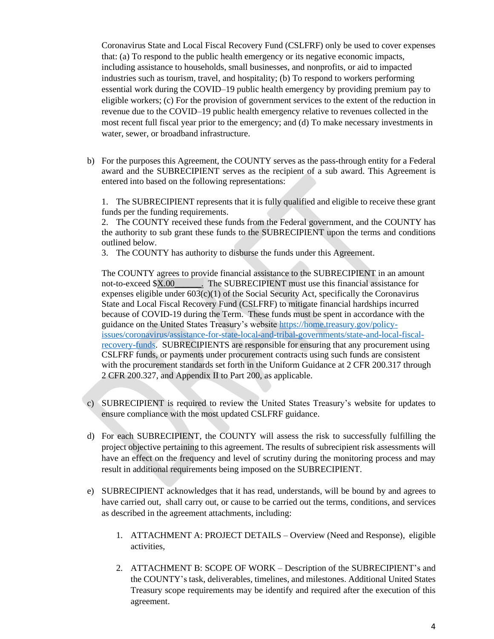Coronavirus State and Local Fiscal Recovery Fund (CSLFRF) only be used to cover expenses that: (a) To respond to the public health emergency or its negative economic impacts, including assistance to households, small businesses, and nonprofits, or aid to impacted industries such as tourism, travel, and hospitality; (b) To respond to workers performing essential work during the COVID–19 public health emergency by providing premium pay to eligible workers; (c) For the provision of government services to the extent of the reduction in revenue due to the COVID–19 public health emergency relative to revenues collected in the most recent full fiscal year prior to the emergency; and (d) To make necessary investments in water, sewer, or broadband infrastructure.

b) For the purposes this Agreement, the COUNTY serves as the pass-through entity for a Federal award and the SUBRECIPIENT serves as the recipient of a sub award. This Agreement is entered into based on the following representations:

1. The SUBRECIPIENT represents that it is fully qualified and eligible to receive these grant funds per the funding requirements.

2. The COUNTY received these funds from the Federal government, and the COUNTY has the authority to sub grant these funds to the SUBRECIPIENT upon the terms and conditions outlined below.

3. The COUNTY has authority to disburse the funds under this Agreement.

The COUNTY agrees to provide financial assistance to the SUBRECIPIENT in an amount not-to-exceed \$X.00\_\_\_\_\_\_. The SUBRECIPIENT must use this financial assistance for expenses eligible under  $603(c)(1)$  of the Social Security Act, specifically the Coronavirus State and Local Fiscal Recovery Fund (CSLFRF) to mitigate financial hardships incurred because of COVID-19 during the Term. These funds must be spent in accordance with the guidance on the United States Treasury's website [https://home.treasury.gov/policy](https://home.treasury.gov/policy-issues/coronavirus/assistance-for-state-local-and-tribal-governments/state-and-local-fiscal-recovery-funds)[issues/coronavirus/assistance-for-state-local-and-tribal-governments/state-and-local-fiscal](https://home.treasury.gov/policy-issues/coronavirus/assistance-for-state-local-and-tribal-governments/state-and-local-fiscal-recovery-funds)[recovery-funds.](https://home.treasury.gov/policy-issues/coronavirus/assistance-for-state-local-and-tribal-governments/state-and-local-fiscal-recovery-funds) SUBRECIPIENTS are responsible for ensuring that any procurement using CSLFRF funds, or payments under procurement contracts using such funds are consistent with the procurement standards set forth in the Uniform Guidance at 2 CFR 200.317 through 2 CFR 200.327, and Appendix II to Part 200, as applicable.

- c) SUBRECIPIENT is required to review the United States Treasury's website for updates to ensure compliance with the most updated CSLFRF guidance.
- d) For each SUBRECIPIENT, the COUNTY will assess the risk to successfully fulfilling the project objective pertaining to this agreement. The results of subrecipient risk assessments will have an effect on the frequency and level of scrutiny during the monitoring process and may result in additional requirements being imposed on the SUBRECIPIENT.
- e) SUBRECIPIENT acknowledges that it has read, understands, will be bound by and agrees to have carried out, shall carry out, or cause to be carried out the terms, conditions, and services as described in the agreement attachments, including:
	- 1. ATTACHMENT A: PROJECT DETAILS Overview (Need and Response), eligible activities,
	- 2. ATTACHMENT B: SCOPE OF WORK Description of the SUBRECIPIENT's and the COUNTY's task, deliverables, timelines, and milestones. Additional United States Treasury scope requirements may be identify and required after the execution of this agreement.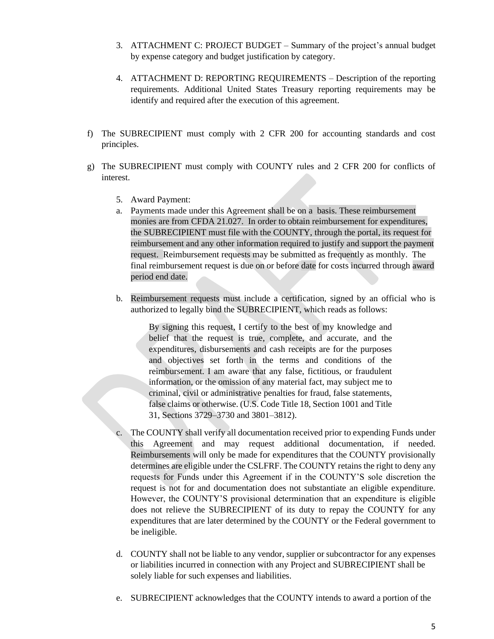- 3. ATTACHMENT C: PROJECT BUDGET Summary of the project's annual budget by expense category and budget justification by category.
- 4. ATTACHMENT D: REPORTING REQUIREMENTS Description of the reporting requirements. Additional United States Treasury reporting requirements may be identify and required after the execution of this agreement.
- f) The SUBRECIPIENT must comply with 2 CFR 200 for accounting standards and cost principles.
- g) The SUBRECIPIENT must comply with COUNTY rules and 2 CFR 200 for conflicts of interest.
	- 5. Award Payment:
	- a. Payments made under this Agreement shall be on a basis. These reimbursement monies are from CFDA 21.027. In order to obtain reimbursement for expenditures, the SUBRECIPIENT must file with the COUNTY, through the portal, its request for reimbursement and any other information required to justify and support the payment request. Reimbursement requests may be submitted as frequently as monthly. The final reimbursement request is due on or before date for costs incurred through award period end date.
	- b. Reimbursement requests must include a certification, signed by an official who is authorized to legally bind the SUBRECIPIENT, which reads as follows:

By signing this request, I certify to the best of my knowledge and belief that the request is true, complete, and accurate, and the expenditures, disbursements and cash receipts are for the purposes and objectives set forth in the terms and conditions of the reimbursement. I am aware that any false, fictitious, or fraudulent information, or the omission of any material fact, may subject me to criminal, civil or administrative penalties for fraud, false statements, false claims or otherwise. (U.S. Code Title 18, Section 1001 and Title 31, Sections 3729–3730 and 3801–3812).

- c. The COUNTY shall verify all documentation received prior to expending Funds under this Agreement and may request additional documentation, if needed. Reimbursements will only be made for expenditures that the COUNTY provisionally determines are eligible under the CSLFRF. The COUNTY retains the right to deny any requests for Funds under this Agreement if in the COUNTY'S sole discretion the request is not for and documentation does not substantiate an eligible expenditure. However, the COUNTY'S provisional determination that an expenditure is eligible does not relieve the SUBRECIPIENT of its duty to repay the COUNTY for any expenditures that are later determined by the COUNTY or the Federal government to be ineligible.
- d. COUNTY shall not be liable to any vendor, supplier or subcontractor for any expenses or liabilities incurred in connection with any Project and SUBRECIPIENT shall be solely liable for such expenses and liabilities.
- e. SUBRECIPIENT acknowledges that the COUNTY intends to award a portion of the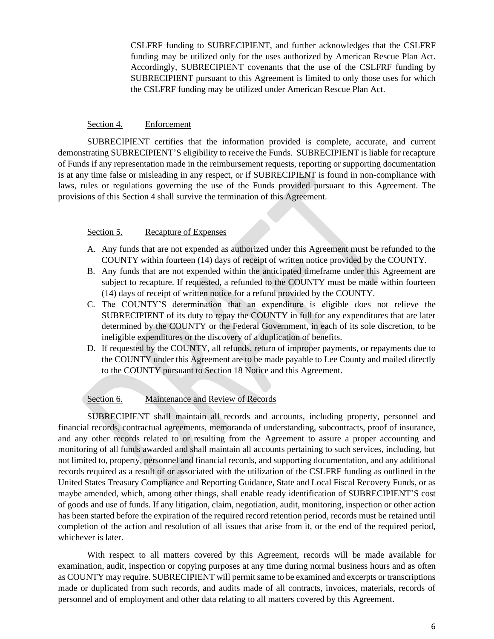CSLFRF funding to SUBRECIPIENT, and further acknowledges that the CSLFRF funding may be utilized only for the uses authorized by American Rescue Plan Act. Accordingly, SUBRECIPIENT covenants that the use of the CSLFRF funding by SUBRECIPIENT pursuant to this Agreement is limited to only those uses for which the CSLFRF funding may be utilized under American Rescue Plan Act.

#### Section 4. Enforcement

SUBRECIPIENT certifies that the information provided is complete, accurate, and current demonstrating SUBRECIPIENT'S eligibility to receive the Funds. SUBRECIPIENT is liable for recapture of Funds if any representation made in the reimbursement requests, reporting or supporting documentation is at any time false or misleading in any respect, or if SUBRECIPIENT is found in non-compliance with laws, rules or regulations governing the use of the Funds provided pursuant to this Agreement. The provisions of this Section 4 shall survive the termination of this Agreement.

#### Section 5. Recapture of Expenses

- A. Any funds that are not expended as authorized under this Agreement must be refunded to the COUNTY within fourteen (14) days of receipt of written notice provided by the COUNTY.
- B. Any funds that are not expended within the anticipated timeframe under this Agreement are subject to recapture. If requested, a refunded to the COUNTY must be made within fourteen (14) days of receipt of written notice for a refund provided by the COUNTY.
- C. The COUNTY'S determination that an expenditure is eligible does not relieve the SUBRECIPIENT of its duty to repay the COUNTY in full for any expenditures that are later determined by the COUNTY or the Federal Government, in each of its sole discretion, to be ineligible expenditures or the discovery of a duplication of benefits.
- D. If requested by the COUNTY, all refunds, return of improper payments, or repayments due to the COUNTY under this Agreement are to be made payable to Lee County and mailed directly to the COUNTY pursuant to Section 18 Notice and this Agreement.

#### Section 6. Maintenance and Review of Records

SUBRECIPIENT shall maintain all records and accounts, including property, personnel and financial records, contractual agreements, memoranda of understanding, subcontracts, proof of insurance, and any other records related to or resulting from the Agreement to assure a proper accounting and monitoring of all funds awarded and shall maintain all accounts pertaining to such services, including, but not limited to, property, personnel and financial records, and supporting documentation, and any additional records required as a result of or associated with the utilization of the CSLFRF funding as outlined in the United States Treasury Compliance and Reporting Guidance, State and Local Fiscal Recovery Funds, or as maybe amended, which, among other things, shall enable ready identification of SUBRECIPIENT'S cost of goods and use of funds. If any litigation, claim, negotiation, audit, monitoring, inspection or other action has been started before the expiration of the required record retention period, records must be retained until completion of the action and resolution of all issues that arise from it, or the end of the required period, whichever is later.

With respect to all matters covered by this Agreement, records will be made available for examination, audit, inspection or copying purposes at any time during normal business hours and as often as COUNTY may require. SUBRECIPIENT will permit same to be examined and excerpts or transcriptions made or duplicated from such records, and audits made of all contracts, invoices, materials, records of personnel and of employment and other data relating to all matters covered by this Agreement.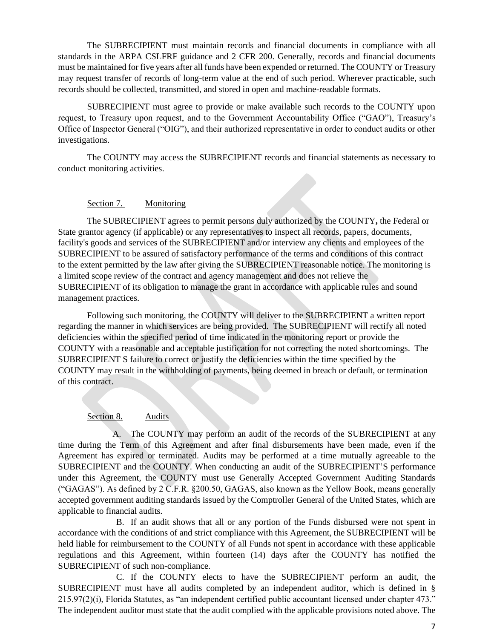The SUBRECIPIENT must maintain records and financial documents in compliance with all standards in the ARPA CSLFRF guidance and 2 CFR 200. Generally, records and financial documents must be maintained for five years after all funds have been expended or returned. The COUNTY or Treasury may request transfer of records of long-term value at the end of such period. Wherever practicable, such records should be collected, transmitted, and stored in open and machine-readable formats.

SUBRECIPIENT must agree to provide or make available such records to the COUNTY upon request, to Treasury upon request, and to the Government Accountability Office ("GAO"), Treasury's Office of Inspector General ("OIG"), and their authorized representative in order to conduct audits or other investigations.

The COUNTY may access the SUBRECIPIENT records and financial statements as necessary to conduct monitoring activities.

#### Section 7. Monitoring

The SUBRECIPIENT agrees to permit persons duly authorized by the COUNTY**,** the Federal or State grantor agency (if applicable) or any representatives to inspect all records, papers, documents, facility's goods and services of the SUBRECIPIENT and/or interview any clients and employees of the SUBRECIPIENT to be assured of satisfactory performance of the terms and conditions of this contract to the extent permitted by the law after giving the SUBRECIPIENT reasonable notice. The monitoring is a limited scope review of the contract and agency management and does not relieve the SUBRECIPIENT of its obligation to manage the grant in accordance with applicable rules and sound management practices.

Following such monitoring, the COUNTY will deliver to the SUBRECIPIENT a written report regarding the manner in which services are being provided. The SUBRECIPIENT will rectify all noted deficiencies within the specified period of time indicated in the monitoring report or provide the COUNTY with a reasonable and acceptable justification for not correcting the noted shortcomings. The SUBRECIPIENT S failure to correct or justify the deficiencies within the time specified by the COUNTY may result in the withholding of payments, being deemed in breach or default, or termination of this contract.

#### Section 8. Audits

A. The COUNTY may perform an audit of the records of the SUBRECIPIENT at any time during the Term of this Agreement and after final disbursements have been made, even if the Agreement has expired or terminated. Audits may be performed at a time mutually agreeable to the SUBRECIPIENT and the COUNTY. When conducting an audit of the SUBRECIPIENT'S performance under this Agreement, the COUNTY must use Generally Accepted Government Auditing Standards ("GAGAS"). As defined by 2 C.F.R. §200.50, GAGAS, also known as the Yellow Book, means generally accepted government auditing standards issued by the Comptroller General of the United States, which are applicable to financial audits.

B. If an audit shows that all or any portion of the Funds disbursed were not spent in accordance with the conditions of and strict compliance with this Agreement, the SUBRECIPIENT will be held liable for reimbursement to the COUNTY of all Funds not spent in accordance with these applicable regulations and this Agreement, within fourteen (14) days after the COUNTY has notified the SUBRECIPIENT of such non-compliance.

C. If the COUNTY elects to have the SUBRECIPIENT perform an audit, the SUBRECIPIENT must have all audits completed by an independent auditor, which is defined in § 215.97(2)(i), Florida Statutes, as "an independent certified public accountant licensed under chapter 473." The independent auditor must state that the audit complied with the applicable provisions noted above. The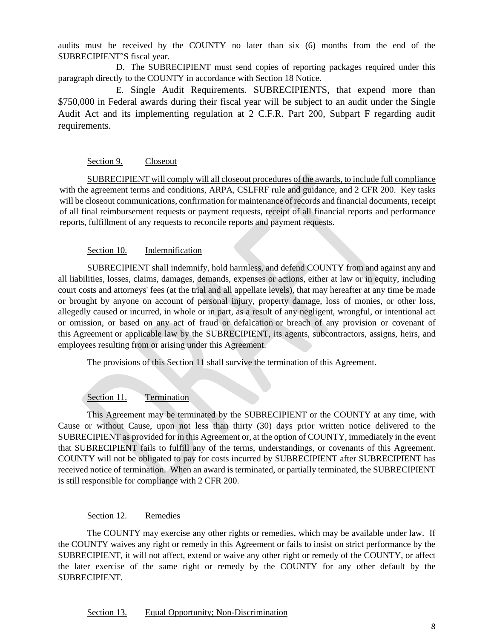audits must be received by the COUNTY no later than six (6) months from the end of the SUBRECIPIENT'S fiscal year.

D. The SUBRECIPIENT must send copies of reporting packages required under this paragraph directly to the COUNTY in accordance with Section 18 Notice.

E. Single Audit Requirements. SUBRECIPIENTS, that expend more than \$750,000 in Federal awards during their fiscal year will be subject to an audit under the Single Audit Act and its implementing regulation at 2 C.F.R. Part 200, Subpart F regarding audit requirements.

#### Section 9. Closeout

SUBRECIPIENT will comply will all closeout procedures of the awards, to include full compliance with the agreement terms and conditions, ARPA, CSLFRF rule and guidance, and 2 CFR 200. Key tasks will be closeout communications, confirmation for maintenance of records and financial documents, receipt of all final reimbursement requests or payment requests, receipt of all financial reports and performance reports, fulfillment of any requests to reconcile reports and payment requests.

#### Section 10. Indemnification

SUBRECIPIENT shall indemnify, hold harmless, and defend COUNTY from and against any and all liabilities, losses, claims, damages, demands, expenses or actions, either at law or in equity, including court costs and attorneys' fees (at the trial and all appellate levels), that may hereafter at any time be made or brought by anyone on account of personal injury, property damage, loss of monies, or other loss, allegedly caused or incurred, in whole or in part, as a result of any negligent, wrongful, or intentional act or omission, or based on any act of fraud or defalcation or breach of any provision or covenant of this Agreement or applicable law by the SUBRECIPIENT, its agents, subcontractors, assigns, heirs, and employees resulting from or arising under this Agreement.

The provisions of this Section 11 shall survive the termination of this Agreement.

#### Section 11. Termination

This Agreement may be terminated by the SUBRECIPIENT or the COUNTY at any time, with Cause or without Cause, upon not less than thirty (30) days prior written notice delivered to the SUBRECIPIENT as provided for in this Agreement or, at the option of COUNTY, immediately in the event that SUBRECIPIENT fails to fulfill any of the terms, understandings, or covenants of this Agreement. COUNTY will not be obligated to pay for costs incurred by SUBRECIPIENT after SUBRECIPIENT has received notice of termination. When an award is terminated, or partially terminated, the SUBRECIPIENT is still responsible for compliance with 2 CFR 200.

#### Section 12. Remedies

The COUNTY may exercise any other rights or remedies, which may be available under law. If the COUNTY waives any right or remedy in this Agreement or fails to insist on strict performance by the SUBRECIPIENT, it will not affect, extend or waive any other right or remedy of the COUNTY, or affect the later exercise of the same right or remedy by the COUNTY for any other default by the SUBRECIPIENT.

#### Section 13. Equal Opportunity; Non-Discrimination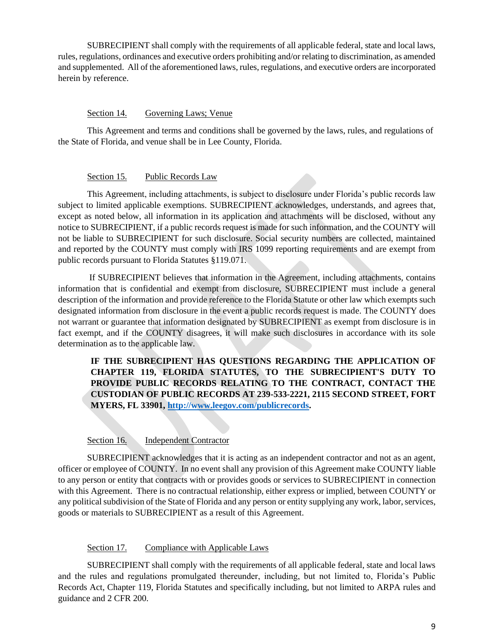SUBRECIPIENT shall comply with the requirements of all applicable federal, state and local laws, rules, regulations, ordinances and executive orders prohibiting and/or relating to discrimination, as amended and supplemented. All of the aforementioned laws, rules, regulations, and executive orders are incorporated herein by reference.

#### Section 14. Governing Laws; Venue

This Agreement and terms and conditions shall be governed by the laws, rules, and regulations of the State of Florida, and venue shall be in Lee County, Florida.

#### Section 15. Public Records Law

This Agreement, including attachments, is subject to disclosure under Florida's public records law subject to limited applicable exemptions. SUBRECIPIENT acknowledges, understands, and agrees that, except as noted below, all information in its application and attachments will be disclosed, without any notice to SUBRECIPIENT, if a public records request is made for such information, and the COUNTY will not be liable to SUBRECIPIENT for such disclosure. Social security numbers are collected, maintained and reported by the COUNTY must comply with IRS 1099 reporting requirements and are exempt from public records pursuant to Florida Statutes §119.071.

If SUBRECIPIENT believes that information in the Agreement, including attachments, contains information that is confidential and exempt from disclosure, SUBRECIPIENT must include a general description of the information and provide reference to the Florida Statute or other law which exempts such designated information from disclosure in the event a public records request is made. The COUNTY does not warrant or guarantee that information designated by SUBRECIPIENT as exempt from disclosure is in fact exempt, and if the COUNTY disagrees, it will make such disclosures in accordance with its sole determination as to the applicable law.

**IF THE SUBRECIPIENT HAS QUESTIONS REGARDING THE APPLICATION OF CHAPTER 119, FLORIDA STATUTES, TO THE SUBRECIPIENT'S DUTY TO PROVIDE PUBLIC RECORDS RELATING TO THE CONTRACT, CONTACT THE CUSTODIAN OF PUBLIC RECORDS AT 239-533-2221, 2115 SECOND STREET, FORT MYERS, FL 33901, [http://www.leegov.com/publicrecords.](http://www.leegov.com/publicrecords)**

#### Section 16. Independent Contractor

SUBRECIPIENT acknowledges that it is acting as an independent contractor and not as an agent, officer or employee of COUNTY. In no event shall any provision of this Agreement make COUNTY liable to any person or entity that contracts with or provides goods or services to SUBRECIPIENT in connection with this Agreement. There is no contractual relationship, either express or implied, between COUNTY or any political subdivision of the State of Florida and any person or entity supplying any work, labor, services, goods or materials to SUBRECIPIENT as a result of this Agreement.

#### Section 17. Compliance with Applicable Laws

SUBRECIPIENT shall comply with the requirements of all applicable federal, state and local laws and the rules and regulations promulgated thereunder, including, but not limited to, Florida's Public Records Act, Chapter 119, Florida Statutes and specifically including, but not limited to ARPA rules and guidance and 2 CFR 200.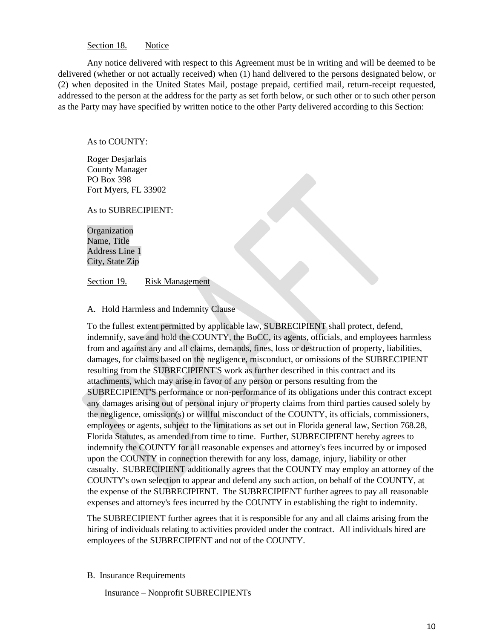#### Section 18. Notice

Any notice delivered with respect to this Agreement must be in writing and will be deemed to be delivered (whether or not actually received) when (1) hand delivered to the persons designated below, or (2) when deposited in the United States Mail, postage prepaid, certified mail, return-receipt requested, addressed to the person at the address for the party as set forth below, or such other or to such other person as the Party may have specified by written notice to the other Party delivered according to this Section:

#### As to COUNTY:

Roger Desjarlais County Manager PO Box 398 Fort Myers, FL 33902

As to SUBRECIPIENT:

Organization Name, Title Address Line 1 City, State Zip

Section 19. Risk Management

#### A. Hold Harmless and Indemnity Clause

To the fullest extent permitted by applicable law, SUBRECIPIENT shall protect, defend, indemnify, save and hold the COUNTY, the BoCC, its agents, officials, and employees harmless from and against any and all claims, demands, fines, loss or destruction of property, liabilities, damages, for claims based on the negligence, misconduct, or omissions of the SUBRECIPIENT resulting from the SUBRECIPIENT'S work as further described in this contract and its attachments, which may arise in favor of any person or persons resulting from the SUBRECIPIENT'S performance or non-performance of its obligations under this contract except any damages arising out of personal injury or property claims from third parties caused solely by the negligence, omission(s) or willful misconduct of the COUNTY, its officials, commissioners, employees or agents, subject to the limitations as set out in Florida general law, Section 768.28, Florida Statutes, as amended from time to time. Further, SUBRECIPIENT hereby agrees to indemnify the COUNTY for all reasonable expenses and attorney's fees incurred by or imposed upon the COUNTY in connection therewith for any loss, damage, injury, liability or other casualty. SUBRECIPIENT additionally agrees that the COUNTY may employ an attorney of the COUNTY's own selection to appear and defend any such action, on behalf of the COUNTY, at the expense of the SUBRECIPIENT. The SUBRECIPIENT further agrees to pay all reasonable expenses and attorney's fees incurred by the COUNTY in establishing the right to indemnity.

The SUBRECIPIENT further agrees that it is responsible for any and all claims arising from the hiring of individuals relating to activities provided under the contract. All individuals hired are employees of the SUBRECIPIENT and not of the COUNTY.

B. Insurance Requirements

Insurance – Nonprofit SUBRECIPIENTs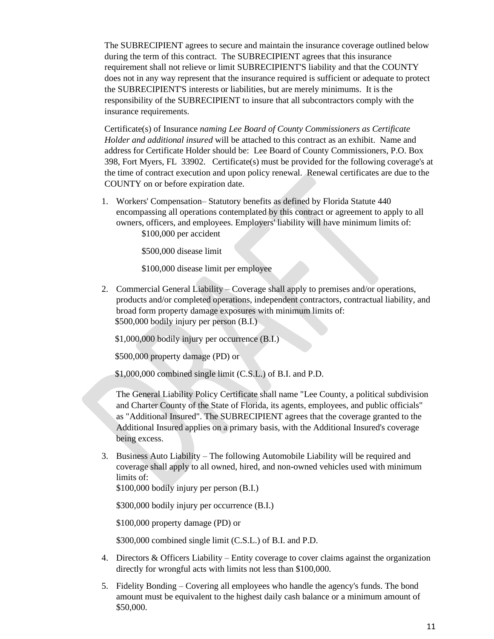The SUBRECIPIENT agrees to secure and maintain the insurance coverage outlined below during the term of this contract. The SUBRECIPIENT agrees that this insurance requirement shall not relieve or limit SUBRECIPIENT'S liability and that the COUNTY does not in any way represent that the insurance required is sufficient or adequate to protect the SUBRECIPIENT'S interests or liabilities, but are merely minimums. It is the responsibility of the SUBRECIPIENT to insure that all subcontractors comply with the insurance requirements.

Certificate(s) of Insurance *naming Lee Board of County Commissioners as Certificate Holder and additional insured* will be attached to this contract as an exhibit. Name and address for Certificate Holder should be: Lee Board of County Commissioners, P.O. Box 398, Fort Myers, FL 33902. Certificate(s) must be provided for the following coverage's at the time of contract execution and upon policy renewal. Renewal certificates are due to the COUNTY on or before expiration date.

1. Workers' Compensation– Statutory benefits as defined by Florida Statute 440 encompassing all operations contemplated by this contract or agreement to apply to all owners, officers, and employees. Employers' liability will have minimum limits of: \$100,000 per accident

\$500,000 disease limit

\$100,000 disease limit per employee

2. Commercial General Liability – Coverage shall apply to premises and/or operations, products and/or completed operations, independent contractors, contractual liability, and broad form property damage exposures with minimum limits of: \$500,000 bodily injury per person (B.I.)

\$1,000,000 bodily injury per occurrence (B.I.)

\$500,000 property damage (PD) or

\$1,000,000 combined single limit (C.S.L.) of B.I. and P.D.

The General Liability Policy Certificate shall name "Lee County, a political subdivision and Charter County of the State of Florida, its agents, employees, and public officials" as "Additional Insured". The SUBRECIPIENT agrees that the coverage granted to the Additional Insured applies on a primary basis, with the Additional Insured's coverage being excess.

3. Business Auto Liability – The following Automobile Liability will be required and coverage shall apply to all owned, hired, and non-owned vehicles used with minimum limits of:

\$100,000 bodily injury per person (B.I.)

\$300,000 bodily injury per occurrence (B.I.)

\$100,000 property damage (PD) or

\$300,000 combined single limit (C.S.L.) of B.I. and P.D.

- 4. Directors & Officers Liability Entity coverage to cover claims against the organization directly for wrongful acts with limits not less than \$100,000.
- 5. Fidelity Bonding Covering all employees who handle the agency's funds. The bond amount must be equivalent to the highest daily cash balance or a minimum amount of \$50,000.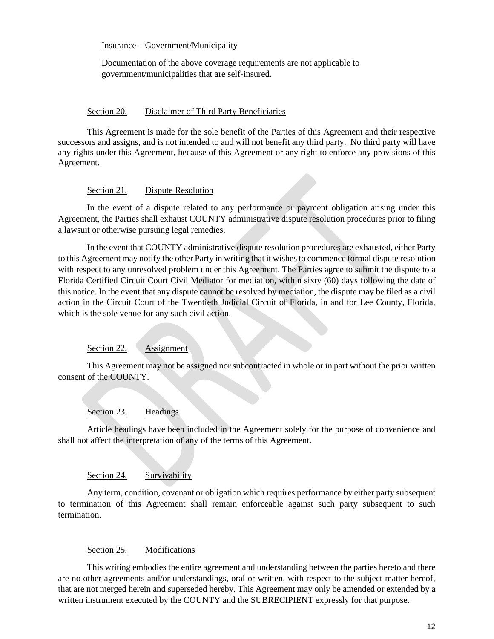Insurance – Government/Municipality

Documentation of the above coverage requirements are not applicable to government/municipalities that are self-insured.

#### Section 20. Disclaimer of Third Party Beneficiaries

This Agreement is made for the sole benefit of the Parties of this Agreement and their respective successors and assigns, and is not intended to and will not benefit any third party. No third party will have any rights under this Agreement, because of this Agreement or any right to enforce any provisions of this Agreement.

#### Section 21. Dispute Resolution

In the event of a dispute related to any performance or payment obligation arising under this Agreement, the Parties shall exhaust COUNTY administrative dispute resolution procedures prior to filing a lawsuit or otherwise pursuing legal remedies.

In the event that COUNTY administrative dispute resolution procedures are exhausted, either Party to this Agreement may notify the other Party in writing that it wishes to commence formal dispute resolution with respect to any unresolved problem under this Agreement. The Parties agree to submit the dispute to a Florida Certified Circuit Court Civil Mediator for mediation, within sixty (60) days following the date of this notice. In the event that any dispute cannot be resolved by mediation, the dispute may be filed as a civil action in the Circuit Court of the Twentieth Judicial Circuit of Florida, in and for Lee County, Florida, which is the sole venue for any such civil action.

#### Section 22. Assignment

This Agreement may not be assigned nor subcontracted in whole or in part without the prior written consent of the COUNTY.

#### Section 23. Headings

Article headings have been included in the Agreement solely for the purpose of convenience and shall not affect the interpretation of any of the terms of this Agreement.

#### Section 24. Survivability

Any term, condition, covenant or obligation which requires performance by either party subsequent to termination of this Agreement shall remain enforceable against such party subsequent to such termination.

#### Section 25. Modifications

This writing embodies the entire agreement and understanding between the parties hereto and there are no other agreements and/or understandings, oral or written, with respect to the subject matter hereof, that are not merged herein and superseded hereby. This Agreement may only be amended or extended by a written instrument executed by the COUNTY and the SUBRECIPIENT expressly for that purpose.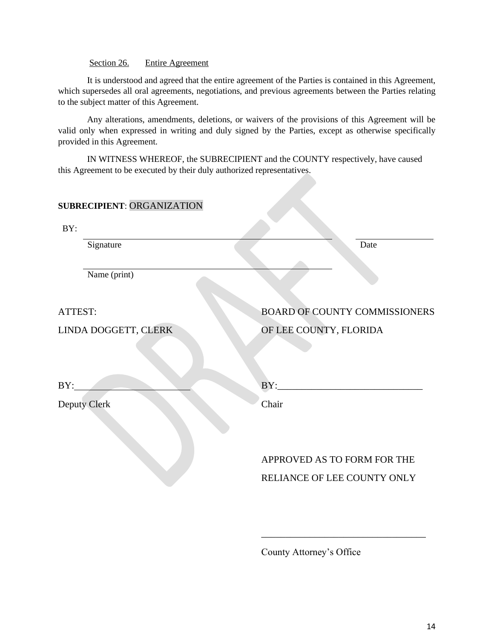#### Section 26. Entire Agreement

It is understood and agreed that the entire agreement of the Parties is contained in this Agreement, which supersedes all oral agreements, negotiations, and previous agreements between the Parties relating to the subject matter of this Agreement.

Any alterations, amendments, deletions, or waivers of the provisions of this Agreement will be valid only when expressed in writing and duly signed by the Parties, except as otherwise specifically provided in this Agreement.

IN WITNESS WHEREOF, the SUBRECIPIENT and the COUNTY respectively, have caused this Agreement to be executed by their duly authorized representatives.

#### **SUBRECIPIENT**: ORGANIZATION

| BY:                  |                                                                                                                           |
|----------------------|---------------------------------------------------------------------------------------------------------------------------|
| Signature            | Date                                                                                                                      |
| Name (print)         |                                                                                                                           |
| ATTEST:              | <b>BOARD OF COUNTY COMMISSIONERS</b>                                                                                      |
| LINDA DOGGETT, CLERK | OF LEE COUNTY, FLORIDA                                                                                                    |
| BY:                  | BY:<br><u> 1980 - Jan Stein Harry Harry Harry Harry Harry Harry Harry Harry Harry Harry Harry Harry Harry Harry Harry</u> |
| <b>Deputy Clerk</b>  | Chair                                                                                                                     |
|                      | APPROVED AS TO FORM FOR THE<br>RELIANCE OF LEE COUNTY ONLY                                                                |

County Attorney's Office

\_\_\_\_\_\_\_\_\_\_\_\_\_\_\_\_\_\_\_\_\_\_\_\_\_\_\_\_\_\_\_\_\_\_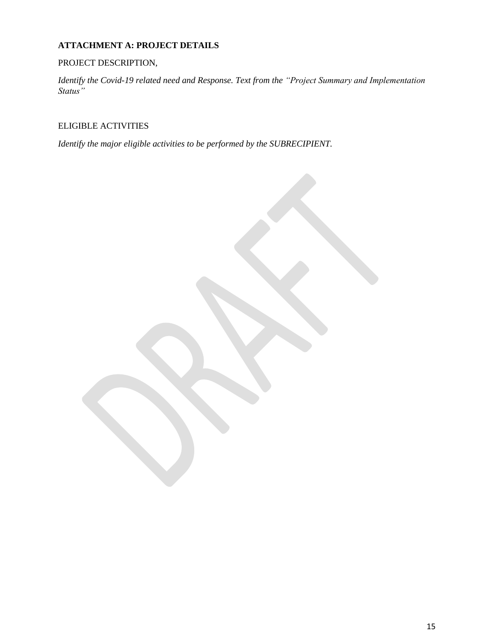### **ATTACHMENT A: PROJECT DETAILS**

#### PROJECT DESCRIPTION,

*Identify the Covid-19 related need and Response. Text from the "Project Summary and Implementation Status"* 

ELIGIBLE ACTIVITIES

*Identify the major eligible activities to be performed by the SUBRECIPIENT.*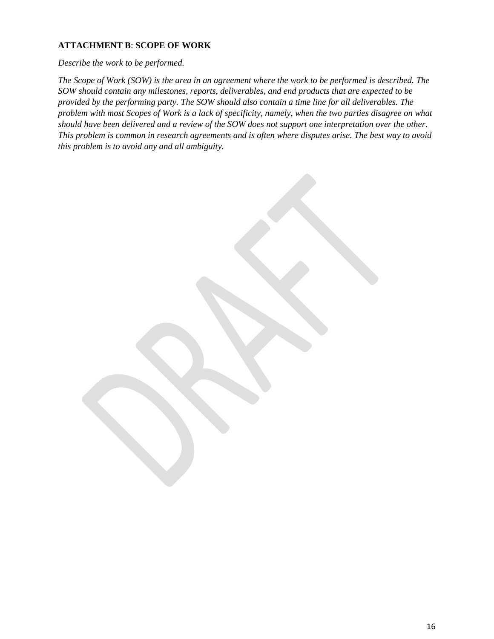#### **ATTACHMENT B**: **SCOPE OF WORK**

*Describe the work to be performed.*

*The Scope of Work (SOW) is the area in an agreement where the work to be performed is described. The SOW should contain any milestones, reports, deliverables, and end products that are expected to be provided by the performing party. The SOW should also contain a time line for all deliverables. The problem with most Scopes of Work is a lack of specificity, namely, when the two parties disagree on what should have been delivered and a review of the SOW does not support one interpretation over the other. This problem is common in research agreements and is often where disputes arise. The best way to avoid this problem is to avoid any and all ambiguity.*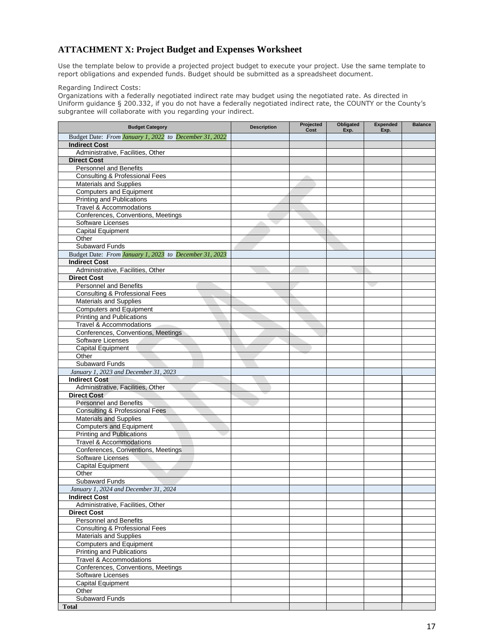#### **ATTACHMENT X: Project Budget and Expenses Worksheet**

Use the template below to provide a projected project budget to execute your project. Use the same template to report obligations and expended funds. Budget should be submitted as a spreadsheet document.

Regarding Indirect Costs:

Organizations with a federally negotiated indirect rate may budget using the negotiated rate. As directed in Uniform guidance § 200.332, if you do not have a federally negotiated indirect rate, the COUNTY or the County's subgrantee will collaborate with you regarding your indirect.

| <b>Budget Category</b>                                 | <b>Description</b> | Projected<br>Cost                                                                                                                                                                                                             | Obligated<br>Exp. | <b>Expended</b><br>Exp. | <b>Balance</b> |
|--------------------------------------------------------|--------------------|-------------------------------------------------------------------------------------------------------------------------------------------------------------------------------------------------------------------------------|-------------------|-------------------------|----------------|
| Budget Date: From January 1, 2022 to December 31, 2022 |                    |                                                                                                                                                                                                                               |                   |                         |                |
| <b>Indirect Cost</b>                                   |                    |                                                                                                                                                                                                                               |                   |                         |                |
| Administrative, Facilities, Other                      |                    |                                                                                                                                                                                                                               |                   |                         |                |
| <b>Direct Cost</b>                                     |                    |                                                                                                                                                                                                                               |                   |                         |                |
| <b>Personnel and Benefits</b>                          |                    |                                                                                                                                                                                                                               |                   |                         |                |
| Consulting & Professional Fees                         |                    | e established a controller a controller a controller a controller a controller a controller a controller a controller a controller a controller a controller a controller a controller a controller a controller a controller |                   |                         |                |
| <b>Materials and Supplies</b>                          |                    |                                                                                                                                                                                                                               |                   |                         |                |
| <b>Computers and Equipment</b>                         |                    |                                                                                                                                                                                                                               |                   |                         |                |
| <b>Printing and Publications</b>                       |                    |                                                                                                                                                                                                                               |                   |                         |                |
| <b>Travel &amp; Accommodations</b>                     |                    |                                                                                                                                                                                                                               |                   |                         |                |
| Conferences, Conventions, Meetings                     |                    |                                                                                                                                                                                                                               |                   |                         |                |
| Software Licenses                                      |                    |                                                                                                                                                                                                                               |                   |                         |                |
| <b>Capital Equipment</b>                               |                    |                                                                                                                                                                                                                               |                   |                         |                |
| Other                                                  |                    |                                                                                                                                                                                                                               |                   |                         |                |
| Subaward Funds                                         |                    |                                                                                                                                                                                                                               |                   |                         |                |
| Budget Date: From January 1, 2023 to December 31, 2023 |                    |                                                                                                                                                                                                                               |                   |                         |                |
| <b>Indirect Cost</b>                                   |                    |                                                                                                                                                                                                                               |                   |                         |                |
| Administrative, Facilities, Other                      |                    |                                                                                                                                                                                                                               |                   |                         |                |
| <b>Direct Cost</b>                                     |                    |                                                                                                                                                                                                                               |                   |                         |                |
| <b>Personnel and Benefits</b>                          |                    |                                                                                                                                                                                                                               |                   |                         |                |
| <b>Consulting &amp; Professional Fees</b>              |                    |                                                                                                                                                                                                                               |                   |                         |                |
| <b>Materials and Supplies</b>                          |                    |                                                                                                                                                                                                                               |                   |                         |                |
| <b>Computers and Equipment</b>                         |                    |                                                                                                                                                                                                                               |                   |                         |                |
| Printing and Publications                              |                    |                                                                                                                                                                                                                               |                   |                         |                |
| <b>Travel &amp; Accommodations</b>                     |                    |                                                                                                                                                                                                                               |                   |                         |                |
| Conferences, Conventions, Meetings                     |                    |                                                                                                                                                                                                                               |                   |                         |                |
| Software Licenses                                      |                    |                                                                                                                                                                                                                               |                   |                         |                |
| Capital Equipment                                      |                    |                                                                                                                                                                                                                               |                   |                         |                |
| Other                                                  |                    |                                                                                                                                                                                                                               |                   |                         |                |
| Subaward Funds                                         |                    |                                                                                                                                                                                                                               |                   |                         |                |
| January 1, 2023 and December 31, 2023                  |                    |                                                                                                                                                                                                                               |                   |                         |                |
| <b>Indirect Cost</b>                                   |                    |                                                                                                                                                                                                                               |                   |                         |                |
| Administrative, Facilities, Other                      |                    |                                                                                                                                                                                                                               |                   |                         |                |
| <b>Direct Cost</b>                                     |                    |                                                                                                                                                                                                                               |                   |                         |                |
| <b>Personnel and Benefits</b>                          |                    |                                                                                                                                                                                                                               |                   |                         |                |
| <b>Consulting &amp; Professional Fees</b>              |                    |                                                                                                                                                                                                                               |                   |                         |                |
| <b>Materials and Supplies</b>                          |                    |                                                                                                                                                                                                                               |                   |                         |                |
| <b>Computers and Equipment</b>                         |                    |                                                                                                                                                                                                                               |                   |                         |                |
| <b>Printing and Publications</b>                       |                    |                                                                                                                                                                                                                               |                   |                         |                |
| <b>Travel &amp; Accommodations</b>                     |                    |                                                                                                                                                                                                                               |                   |                         |                |
| Conferences, Conventions, Meetings                     |                    |                                                                                                                                                                                                                               |                   |                         |                |
| Software Licenses                                      |                    |                                                                                                                                                                                                                               |                   |                         |                |
| Capital Equipment                                      |                    |                                                                                                                                                                                                                               |                   |                         |                |
| Other                                                  |                    |                                                                                                                                                                                                                               |                   |                         |                |
| Subaward Funds                                         |                    |                                                                                                                                                                                                                               |                   |                         |                |
| January 1, 2024 and December 31, 2024                  |                    |                                                                                                                                                                                                                               |                   |                         |                |
| <b>Indirect Cost</b>                                   |                    |                                                                                                                                                                                                                               |                   |                         |                |
| Administrative, Facilities, Other                      |                    |                                                                                                                                                                                                                               |                   |                         |                |
| <b>Direct Cost</b>                                     |                    |                                                                                                                                                                                                                               |                   |                         |                |
| <b>Personnel and Benefits</b>                          |                    |                                                                                                                                                                                                                               |                   |                         |                |
| Consulting & Professional Fees                         |                    |                                                                                                                                                                                                                               |                   |                         |                |
| Materials and Supplies                                 |                    |                                                                                                                                                                                                                               |                   |                         |                |
| <b>Computers and Equipment</b>                         |                    |                                                                                                                                                                                                                               |                   |                         |                |
| Printing and Publications                              |                    |                                                                                                                                                                                                                               |                   |                         |                |
| Travel & Accommodations                                |                    |                                                                                                                                                                                                                               |                   |                         |                |
| Conferences, Conventions, Meetings                     |                    |                                                                                                                                                                                                                               |                   |                         |                |
| Software Licenses                                      |                    |                                                                                                                                                                                                                               |                   |                         |                |
| Capital Equipment                                      |                    |                                                                                                                                                                                                                               |                   |                         |                |
| Other                                                  |                    |                                                                                                                                                                                                                               |                   |                         |                |
| Subaward Funds                                         |                    |                                                                                                                                                                                                                               |                   |                         |                |
| <b>Total</b>                                           |                    |                                                                                                                                                                                                                               |                   |                         |                |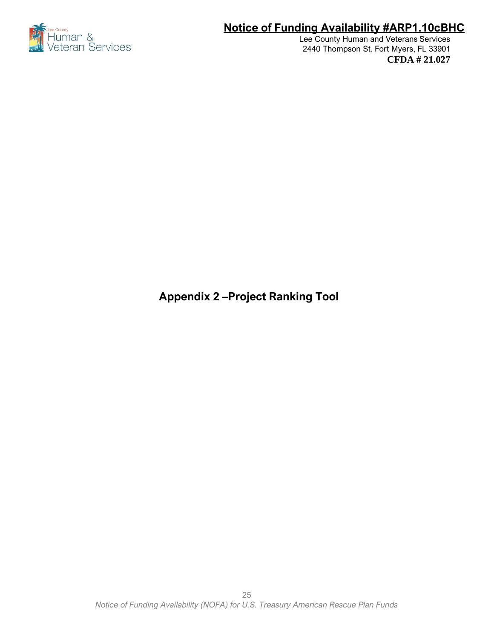

Lee County Human and Veterans Services 2440 Thompson St. Fort Myers, FL 33901 **CFDA # 21.027**

**Appendix 2 –Project Ranking Tool**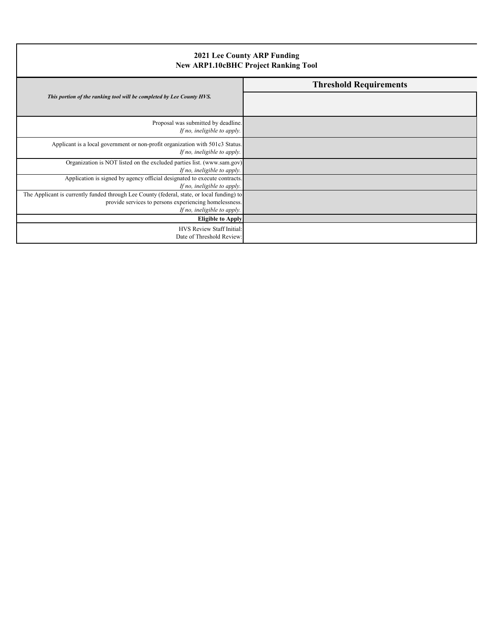| 2021 Lee County ARP Funding<br><b>New ARP1.10cBHC Project Ranking Tool</b>                                                                                                          |                               |  |
|-------------------------------------------------------------------------------------------------------------------------------------------------------------------------------------|-------------------------------|--|
|                                                                                                                                                                                     | <b>Threshold Requirements</b> |  |
| This portion of the ranking tool will be completed by Lee County HVS.                                                                                                               |                               |  |
| Proposal was submitted by deadline.<br>If no, ineligible to apply.                                                                                                                  |                               |  |
| Applicant is a local government or non-profit organization with 501c3 Status.<br>If no, ineligible to apply.                                                                        |                               |  |
| Organization is NOT listed on the excluded parties list. (www.sam.gov)<br>If no, ineligible to apply.                                                                               |                               |  |
| Application is signed by agency official designated to execute contracts.<br>If no, ineligible to apply.                                                                            |                               |  |
| The Applicant is currently funded through Lee County (federal, state, or local funding) to<br>provide services to persons experiencing homelessness.<br>If no, ineligible to apply. |                               |  |
| <b>Eligible to Apply</b>                                                                                                                                                            |                               |  |
| HVS Review Staff Initial:<br>Date of Threshold Review:                                                                                                                              |                               |  |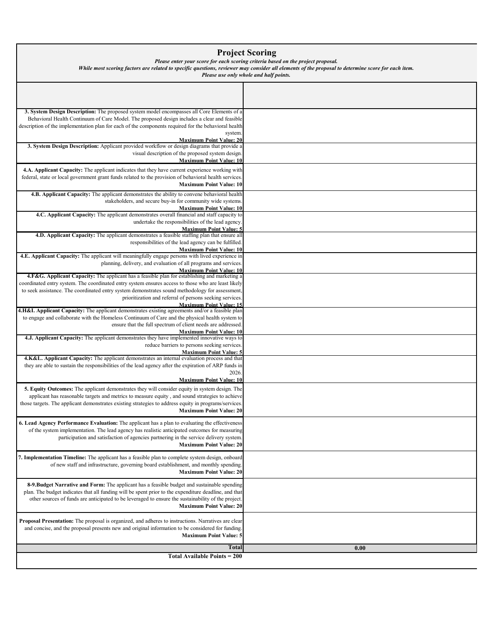#### **Project Scoring**

*Please enter your score for each scoring criteria based on the project proposal.* 

*While most scoring factors are related to specific questions, reviewer may consider all elements of the proposal to determine score for each item.* 

*Please use only whole and half points.*

| 3. System Design Description: The proposed system model encompasses all Core Elements of a                                                   |      |
|----------------------------------------------------------------------------------------------------------------------------------------------|------|
| Behavioral Health Continuum of Care Model. The proposed design includes a clear and feasible                                                 |      |
| description of the implementation plan for each of the components required for the behavioral health                                         |      |
| system.                                                                                                                                      |      |
| <b>Maximum Point Value: 20</b><br>3. System Design Description: Applicant provided workflow or design diagrams that provide a                |      |
| visual description of the proposed system design.                                                                                            |      |
| <b>Maximum Point Value: 10</b>                                                                                                               |      |
| 4.A. Applicant Capacity: The applicant indicates that they have current experience working with                                              |      |
| federal, state or local government grant funds related to the provision of behavioral health services.                                       |      |
| <b>Maximum Point Value: 10</b>                                                                                                               |      |
| 4.B. Applicant Capacity: The applicant demonstrates the ability to convene behavioral health                                                 |      |
| stakeholders, and secure buy-in for community wide systems.                                                                                  |      |
| <b>Maximum Point Value: 10</b><br>4.C. Applicant Capacity: The applicant demonstrates overall financial and staff capacity to                |      |
| undertake the responsibilities of the lead agency.                                                                                           |      |
| <b>Maximum Point Value: 5</b>                                                                                                                |      |
| 4.D. Applicant Capacity: The applicant demonstrates a feasible staffing plan that ensure all                                                 |      |
| responsibilities of the lead agency can be fulfilled.<br><b>Maximum Point Value: 10</b>                                                      |      |
| 4.E. Applicant Capacity: The applicant will meaningfully engage persons with lived experience in                                             |      |
| planning, delivery, and evaluation of all programs and services.                                                                             |      |
| <b>Maximum Point Value: 10</b><br>4.F&G. Applicant Capacity: The applicant has a feasible plan for establishing and marketing a              |      |
| coordinated entry system. The coordinated entry system ensures access to those who are least likely                                          |      |
| to seek assistance. The coordinated entry system demonstrates sound methodology for assessment,                                              |      |
| prioritization and referral of persons seeking services.                                                                                     |      |
| <b>Maximum Point Value: 15</b><br>4.H&I. Applicant Capacity: The applicant demonstrates existing agreements and/or a feasible plan           |      |
| to engage and collaborate with the Homeless Continuum of Care and the physical health system to                                              |      |
| ensure that the full spectrum of client needs are addressed.                                                                                 |      |
| <b>Maximum Point Value: 10</b>                                                                                                               |      |
| 4.J. Applicant Capacity: The applicant demonstrates they have implemented innovative ways to<br>reduce barriers to persons seeking services. |      |
| <b>Maximum Point Value: 5</b>                                                                                                                |      |
| 4.K&L. Applicant Capacity: The applicant demonstrates an internal evaluation process and that                                                |      |
| they are able to sustain the responsibilities of the lead agency after the expiration of ARP funds in<br>2026.                               |      |
| <b>Maximum Point Value: 10</b>                                                                                                               |      |
| 5. Equity Outcomes: The applicant demonstrates they will consider equity in system design. The                                               |      |
| applicant has reasonable targets and metrics to measure equity, and sound strategies to achieve                                              |      |
| those targets. The applicant demonstrates existing strategies to address equity in programs/services.                                        |      |
| <b>Maximum Point Value: 20</b>                                                                                                               |      |
| 6. Lead Agency Performance Evaluation: The applicant has a plan to evaluating the effectiveness                                              |      |
| of the system implementation. The lead agency has realistic anticipated outcomes for measuring                                               |      |
| participation and satisfaction of agencies partnering in the service delivery system.                                                        |      |
| <b>Maximum Point Value: 20</b>                                                                                                               |      |
| 7. Implementation Timeline: The applicant has a feasible plan to complete system design, onboard                                             |      |
| of new staff and infrastructure, governing board establishment, and monthly spending.                                                        |      |
| <b>Maximum Point Value: 20</b>                                                                                                               |      |
| 8-9. Budget Narrative and Form: The applicant has a feasible budget and sustainable spending                                                 |      |
| plan. The budget indicates that all funding will be spent prior to the expenditure deadline, and that                                        |      |
| other sources of funds are anticipated to be leveraged to ensure the sustainability of the project.                                          |      |
| <b>Maximum Point Value: 20</b>                                                                                                               |      |
| <b>Proposal Presentation:</b> The proposal is organized, and adheres to instructions. Narratives are clear                                   |      |
| and concise, and the proposal presents new and original information to be considered for funding.                                            |      |
| <b>Maximum Point Value: 5</b>                                                                                                                |      |
| <b>Total</b>                                                                                                                                 |      |
| <b>Total Available Points = 200</b>                                                                                                          | 0.00 |
|                                                                                                                                              |      |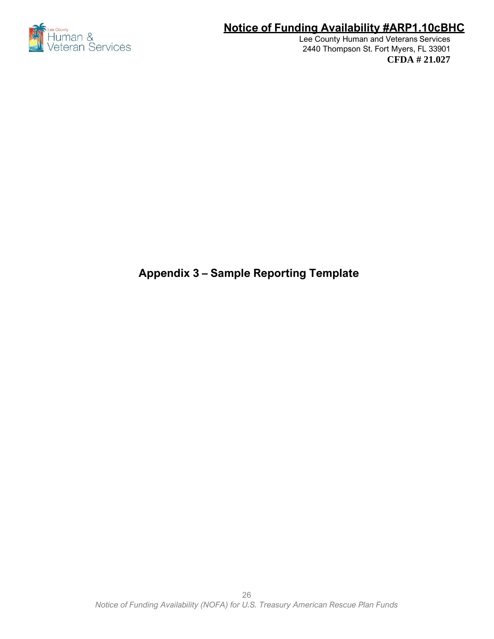

Lee County Human and Veterans Services 2440 Thompson St. Fort Myers, FL 33901 **CFDA # 21.027**

# **Appendix 3 – Sample Reporting Template**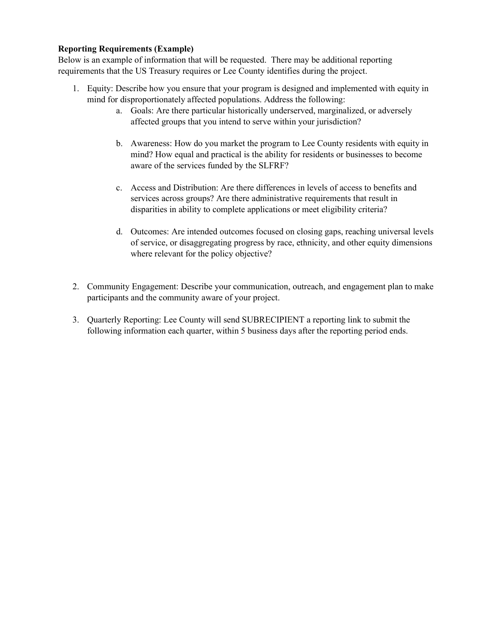#### **Reporting Requirements (Example)**

Below is an example of information that will be requested. There may be additional reporting requirements that the US Treasury requires or Lee County identifies during the project.

- 1. Equity: Describe how you ensure that your program is designed and implemented with equity in mind for disproportionately affected populations. Address the following:
	- a. Goals: Are there particular historically underserved, marginalized, or adversely affected groups that you intend to serve within your jurisdiction?
	- b. Awareness: How do you market the program to Lee County residents with equity in mind? How equal and practical is the ability for residents or businesses to become aware of the services funded by the SLFRF?
	- c. Access and Distribution: Are there differences in levels of access to benefits and services across groups? Are there administrative requirements that result in disparities in ability to complete applications or meet eligibility criteria?
	- d. Outcomes: Are intended outcomes focused on closing gaps, reaching universal levels of service, or disaggregating progress by race, ethnicity, and other equity dimensions where relevant for the policy objective?
- 2. Community Engagement: Describe your communication, outreach, and engagement plan to make participants and the community aware of your project.
- 3. Quarterly Reporting: Lee County will send SUBRECIPIENT a reporting link to submit the following information each quarter, within 5 business days after the reporting period ends.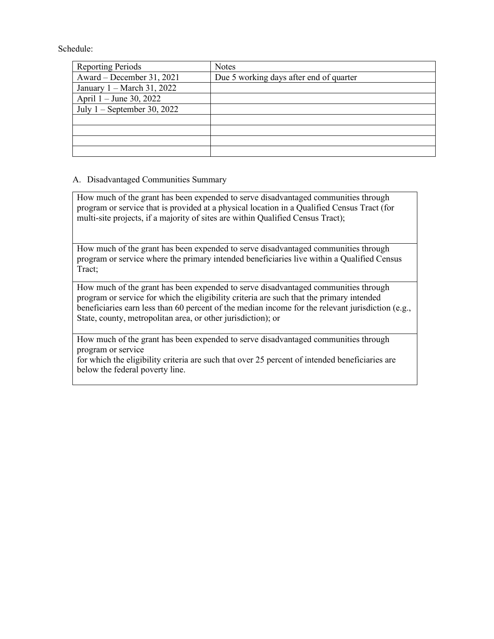Schedule:

| <b>Reporting Periods</b>             | <b>Notes</b>                            |
|--------------------------------------|-----------------------------------------|
| Award – December 31, 2021            | Due 5 working days after end of quarter |
| January $1 - \text{March } 31, 2022$ |                                         |
| April 1 – June 30, 2022              |                                         |
| July $1$ – September 30, 2022        |                                         |
|                                      |                                         |
|                                      |                                         |
|                                      |                                         |
|                                      |                                         |

#### A. Disadvantaged Communities Summary

How much of the grant has been expended to serve disadvantaged communities through program or service that is provided at a physical location in a Qualified Census Tract (for multi-site projects, if a majority of sites are within Qualified Census Tract);

How much of the grant has been expended to serve disadvantaged communities through program or service where the primary intended beneficiaries live within a Qualified Census Tract;

How much of the grant has been expended to serve disadvantaged communities through program or service for which the eligibility criteria are such that the primary intended beneficiaries earn less than 60 percent of the median income for the relevant jurisdiction (e.g., State, county, metropolitan area, or other jurisdiction); or

How much of the grant has been expended to serve disadvantaged communities through program or service

for which the eligibility criteria are such that over 25 percent of intended beneficiaries are below the federal poverty line.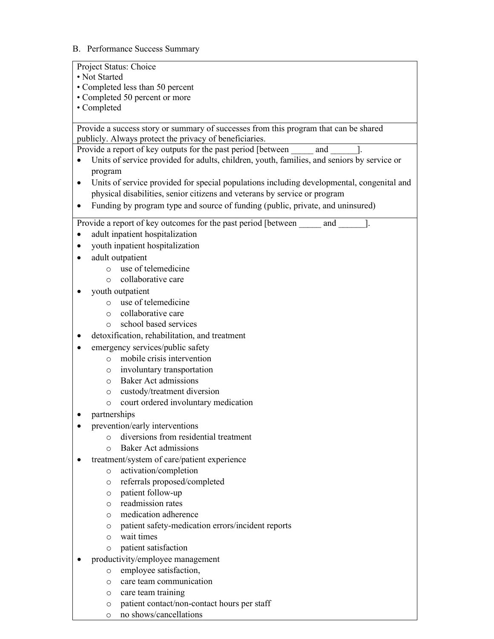#### B. Performance Success Summary

| Project Status: Choice                                                                                                                         |
|------------------------------------------------------------------------------------------------------------------------------------------------|
| • Not Started                                                                                                                                  |
| • Completed less than 50 percent<br>• Completed 50 percent or more                                                                             |
| • Completed                                                                                                                                    |
|                                                                                                                                                |
| Provide a success story or summary of successes from this program that can be shared<br>publicly. Always protect the privacy of beneficiaries. |
| Provide a report of key outputs for the past period [between and                                                                               |
| Units of service provided for adults, children, youth, families, and seniors by service or                                                     |
| program                                                                                                                                        |
| Units of service provided for special populations including developmental, congenital and<br>$\bullet$                                         |
| physical disabilities, senior citizens and veterans by service or program                                                                      |
| Funding by program type and source of funding (public, private, and uninsured)                                                                 |
| Provide a report of key outcomes for the past period [between]<br>and                                                                          |
| adult inpatient hospitalization                                                                                                                |
| youth inpatient hospitalization                                                                                                                |
| adult outpatient                                                                                                                               |
| use of telemedicine<br>$\circ$                                                                                                                 |
| collaborative care<br>$\Omega$                                                                                                                 |
| youth outpatient                                                                                                                               |
| use of telemedicine<br>$\circ$                                                                                                                 |
| collaborative care<br>$\circ$                                                                                                                  |
| school based services<br>$\circ$                                                                                                               |
| detoxification, rehabilitation, and treatment                                                                                                  |
| emergency services/public safety                                                                                                               |
| mobile crisis intervention<br>$\circ$                                                                                                          |
| involuntary transportation<br>$\circ$                                                                                                          |
| <b>Baker Act admissions</b><br>$\circ$                                                                                                         |
| custody/treatment diversion<br>$\circ$<br>court ordered involuntary medication<br>$\circ$                                                      |
| partnerships                                                                                                                                   |
| prevention/early interventions                                                                                                                 |
| diversions from residential treatment                                                                                                          |
| <b>Baker Act admissions</b><br>$\Omega$                                                                                                        |
| treatment/system of care/patient experience                                                                                                    |
| activation/completion<br>$\circ$                                                                                                               |
| referrals proposed/completed<br>$\circ$                                                                                                        |
| patient follow-up<br>$\circ$                                                                                                                   |
| readmission rates<br>$\circ$                                                                                                                   |
| medication adherence<br>$\circ$                                                                                                                |
| patient safety-medication errors/incident reports<br>$\circ$                                                                                   |
| wait times<br>$\circ$                                                                                                                          |
| patient satisfaction<br>O                                                                                                                      |
| productivity/employee management                                                                                                               |
| employee satisfaction,<br>$\circ$                                                                                                              |
| care team communication<br>O                                                                                                                   |
| care team training<br>O                                                                                                                        |

- o patient contact/non-contact hours per staff
- o no shows/cancellations